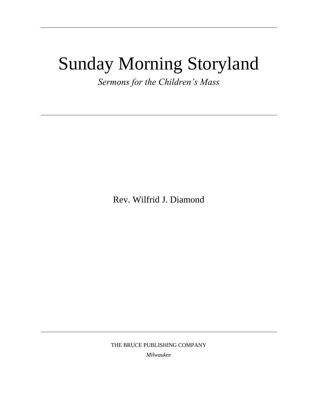# Sunday Morning Storyland

*Sermons for the Children's Mass*

Rev. Wilfrid J. Diamond

THE BRUCE PUBLISHING COMPANY

*Milwaukee*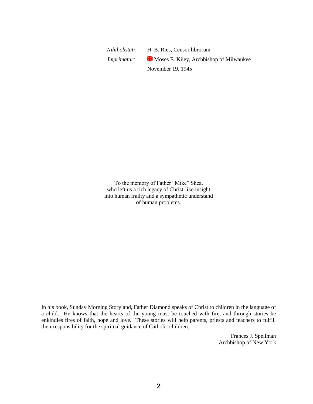*Nihil obstat:* H. B. Ries, Censor librorum *Imprimatur:* Moses E. Kiley, Archbishop of Milwaukee November 19, 1945

To the memory of Father "Mike" Shea, who left us a rich legacy of Christ-like insight into human frailty and a sympathetic understand of human problems.

In his book, Sunday Morning Storyland, Father Diamond speaks of Christ to children in the language of a child. He knows that the hearts of the young must be touched with fire, and through stories he enkindles fires of faith, hope and love. These stories will help parents, priests and teachers to fulfill their responsibility for the spiritual guidance of Catholic children.

> Frances J. Spellman Archbishop of New York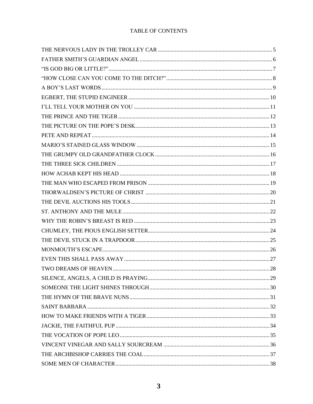#### TABLE OF CONTENTS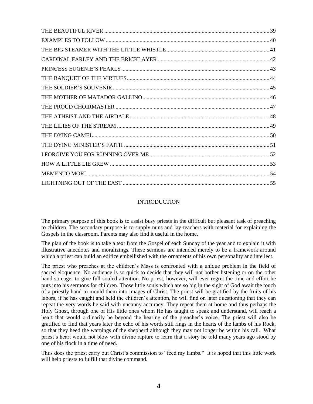#### INTRODUCTION

The primary purpose of this book is to assist busy priests in the difficult but pleasant task of preaching to children. The secondary purpose is to supply nuns and lay-teachers with material for explaining the Gospels in the classroom. Parents may also find it useful in the home.

The plan of the book is to take a text from the Gospel of each Sunday of the year and to explain it with illustrative anecdotes and moralizings. These sermons are intended merely to be a framework around which a priest can build an edifice embellished with the ornaments of his own personality and intellect.

The priest who preaches at the children"s Mass is confronted with a unique problem in the field of sacred eloquence. No audience is so quick to decide that they will not bother listening or on the other hand so eager to give full-souled attention. No priest, however, will ever regret the time and effort he puts into his sermons for children. Those little souls which are so big in the sight of God await the touch of a priestly hand to mould them into images of Christ. The priest will be gratified by the fruits of his labors, if he has caught and held the children"s attention, he will find on later questioning that they can repeat the very words he said with uncanny accuracy. They repeat them at home and thus perhaps the Holy Ghost, through one of His little ones whom He has taught to speak and understand, will reach a heart that would ordinarily be beyond the hearing of the preacher"s voice. The priest will also be gratified to find that years later the echo of his words still rings in the hearts of the lambs of his Rock, so that they heed the warnings of the shepherd although they may not longer be within his call. What priest"s heart would not blow with divine rapture to learn that a story he told many years ago stood by one of his flock in a time of need.

Thus does the priest carry out Christ"s commission to "feed my lambs." It is hoped that this little work will help priests to fulfill that divine command.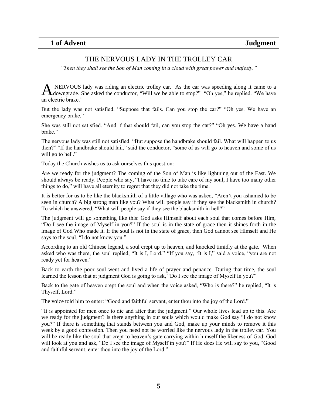# THE NERVOUS LADY IN THE TROLLEY CAR

<span id="page-4-0"></span>*"Then they shall see the Son of Man coming in a cloud with great power and majesty."*

NERVOUS lady was riding an electric trolley car. As the car was speeding along it came to a A NERVOUS lady was riding an electric trolley car. As the car was speeding along it came to a downgrade. She asked the conductor, "Will we be able to stop?" "Oh yes," he replied. "We have an electric brake."

But the lady was not satisfied. "Suppose that fails. Can you stop the car?" "Oh yes. We have an emergency brake."

She was still not satisfied. "And if that should fail, can you stop the car?" "Oh yes. We have a hand brake."

The nervous lady was still not satisfied. "But suppose the handbrake should fail. What will happen to us then?" "If the handbrake should fail," said the conductor, "some of us will go to heaven and some of us will go to hell."

Today the Church wishes us to ask ourselves this question:

Are we ready for the judgment? The coming of the Son of Man is like lightning out of the East. We should always be ready. People who say, "I have no time to take care of my soul; I have too many other things to do," will have all eternity to regret that they did not take the time.

It is better for us to be like the blacksmith of a little village who was asked, "Aren"t you ashamed to be seen in church? A big strong man like you? What will people say if they see the blacksmith in church? To which he answered, "What will people say if they see the blacksmith in hell?"

The judgment will go something like this: God asks Himself about each soul that comes before Him, "Do I see the image of Myself in you?" If the soul is in the state of grace then it shines forth in the image of God Who made it. If the soul is not in the state of grace, then God cannot see Himself and He says to the soul, "I do not know you."

According to an old Chinese legend, a soul crept up to heaven, and knocked timidly at the gate. When asked who was there, the soul replied, "It is I, Lord." "If you say, "It is I," said a voice, "you are not ready yet for heaven."

Back to earth the poor soul went and lived a life of prayer and penance. During that time, the soul learned the lesson that at judgment God is going to ask, "Do I see the image of Myself in you?"

Back to the gate of heaven crept the soul and when the voice asked, "Who is there?" he replied, "It is Thyself, Lord."

The voice told him to enter: "Good and faithful servant, enter thou into the joy of the Lord."

"It is appointed for men once to die and after that the judgment." Our whole lives lead up to this. Are we ready for the judgment? Is there anything in our souls which would make God say "I do not know you?" If there is something that stands between you and God, make up your minds to remove it this week by a good confession. Then you need not be worried like the nervous lady in the trolley car. You will be ready like the soul that crept to heaven"s gate carrying within himself the likeness of God. God will look at you and ask, "Do I see the image of Myself in you?" If He does He will say to you, "Good and faithful servant, enter thou into the joy of the Lord."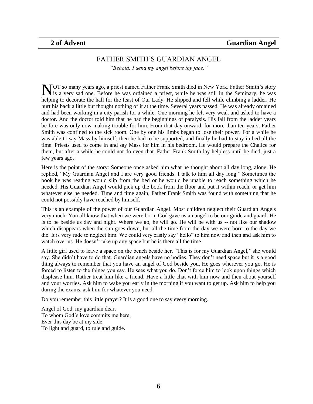#### FATHER SMITH"S GUARDIAN ANGEL

*"Behold, 1 send my angel before thy face."*

<span id="page-5-0"></span>NOT so many years ago, a priest named Father Frank Smith died in New York. Father Smith's story is a very sad one. Before he was ordained a priest, while he was still in the Seminary, he was It is a very sad one. Before he was ordained a priest, while he was still in the Seminary, he was helping to decorate the hall for the feast of Our Lady. He slipped and fell while climbing a ladder. He hurt his back a little but thought nothing of it at the time. Several years passed. He was already ordained and had been working in a city parish for a while. One morning he felt very weak and asked to have a doctor. And the doctor told him that he had the beginnings of paralysis. His fall from the ladder years be-fore was only now making trouble for him. From that day onward, for more than ten years, Father Smith was confined to the sick room. One by one his limbs began to lose their power. For a while he was able to say Mass by himself, then he had to be supported, and finally he had to stay in bed all the time. Priests used to come in and say Mass for him in his bedroom. He would prepare the Chalice for them, but after a while he could not do even that. Father Frank Smith lay helpless until he died, just a few years ago.

Here is the point of the story: Someone once asked him what he thought about all day long, alone. He replied, "My Guardian Angel and I are very good friends. I talk to him all day long." Sometimes the book he was reading would slip from the bed or he would be unable to reach something which he needed. His Guardian Angel would pick up the book from the floor and put it within reach, or get him whatever else he needed. Time and time again, Father Frank Smith was found with something that he could not possibly have reached by himself.

This is an example of the power of our Guardian Angel. Most children neglect their Guardian Angels very much. You all know that when we were born, God gave us an angel to be our guide and guard. He is to be beside us day and night. Where we go, he will go. He will be with us -- not like our shadow which disappears when the sun goes down, but all the time from the day we were born to the day we die. It is very rude to neglect him. We could very easily say "hello" to him now and then and ask him to watch over us. He doesn't take up any space but he is there all the time.

A little girl used to leave a space on the bench beside her. "This is for my Guardian Angel," she would say. She didn"t have to do that. Guardian angels have no bodies. They don"t need space but it is a good thing always to remember that you have an angel of God beside you. He goes wherever you go. He is forced to listen to the things you say. He sees what you do. Don't force him to look upon things which displease him. Rather treat him like a friend. Have a little chat with him now and then about yourself and your worries. Ask him to wake you early in the morning if you want to get up. Ask him to help you during the exams, ask him for whatever you need.

Do you remember this little prayer? It is a good one to say every morning.

Angel of God, my guardian dear, To whom God"s love commits me here, Ever this day be at my side, To light and guard, to rule and guide.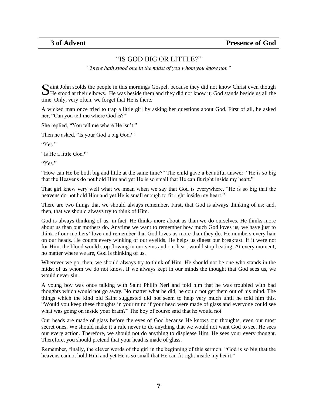### "IS GOD BIG OR LITTLE?"

*"There hath stood one in the midst of you whom you know not."*

<span id="page-6-0"></span> $\Gamma$  aint John scolds the people in this mornings Gospel, because they did not know Christ even though Solution scolds the people in this mornings Gospel, because they did not know Christ even though He stood at their elbows. He was beside them and they did not know it. God stands beside us all the time. Only, very often, we forget that He is there.

A wicked man once tried to trap a little girl by asking her questions about God. First of all, he asked her, "Can you tell me where God is?"

She replied, "You tell me where He isn't."

Then he asked, "Is your God a big God?"

"Yes"

"Is He a little God?"

"Yes."

"How can He be both big and little at the same time?" The child gave a beautiful answer. "He is so big that the Heavens do not hold Him and yet He is so small that He can fit right inside my heart."

That girl knew very well what we mean when we say that God is everywhere. "He is so big that the heavens do not hold Him and yet He is small enough to fit right inside my heart."

There are two things that we should always remember. First, that God is always thinking of us; and, then, that we should always try to think of Him.

God is always thinking of us; in fact, He thinks more about us than we do ourselves. He thinks more about us than our mothers do. Anytime we want to remember how much God loves us, we have just to think of our mothers" love and remember that God loves us more than they do. He numbers every hair on our heads. He counts every winking of our eyelids. He helps us digest our breakfast. If it were not for Him, the blood would stop flowing in our veins and our heart would stop beating. At every moment, no matter where we are, God is thinking of us.

Wherever we go, then, we should always try to think of Him. He should not be one who stands in the midst of us whom we do not know. If we always kept in our minds the thought that God sees us, we would never sin.

A young boy was once talking with Saint Philip Neri and told him that he was troubled with bad thoughts which would not go away. No matter what he did, he could not get them out of his mind. The things which the kind old Saint suggested did not seem to help very much until he told him this, "Would you keep these thoughts in your mind if your head were made of glass and everyone could see what was going on inside your brain?" The boy of course said that he would not.

Our heads are made of glass before the eyes of God because He knows our thoughts, even our most secret ones. We should make it a rule never to do anything that we would not want God to see. He sees our every action. Therefore, we should not do anything to displease Him. He sees your every thought. Therefore, you should pretend that your head is made of glass.

Remember, finally, the clever words of the girl in the beginning of this sermon. "God is so big that the heavens cannot hold Him and yet He is so small that He can fit right inside my heart."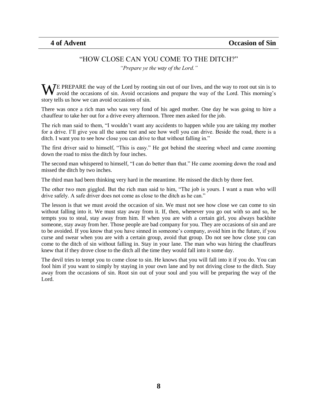### "HOW CLOSE CAN YOU COME TO THE DITCH?"

*"Prepare ye the way of the Lord."*

<span id="page-7-0"></span>WE PREPARE the way of the Lord by rooting sin out of our lives, and the way to root out sin is to avoid the occasions of sin. Avoid occasions and prepare the way of the Lord. This morning's avoid the occasions of sin. Avoid occasions and prepare the way of the Lord. This morning"s story tells us how we can avoid occasions of sin.

There was once a rich man who was very fond of his aged mother. One day he was going to hire a chauffeur to take her out for a drive every afternoon. Three men asked for the job.

The rich man said to them, "I wouldn"t want any accidents to happen while you are taking my mother for a drive. I"ll give you all the same test and see how well you can drive. Beside the road, there is a ditch. I want you to see how close you can drive to that without falling in."

The first driver said to himself, "This is easy." He got behind the steering wheel and came zooming down the road to miss the ditch by four inches.

The second man whispered to himself, "I can do better than that." He came zooming down the road and missed the ditch by two inches.

The third man had been thinking very hard in the meantime. He missed the ditch by three feet.

The other two men giggled. But the rich man said to him, "The job is yours. I want a man who will drive safely. A safe driver does not come as close to the ditch as he can."

The lesson is that we must avoid the occasion of sin. We must not see how close we can come to sin without falling into it. We must stay away from it. If, then, whenever you go out with so and so, he tempts you to steal, stay away from him. If when you are with a certain girl, you always backbite someone, stay away from her. Those people are bad company for you. They are occasions of sin and are to be avoided. If you know that you have sinned in someone"s company, avoid him in the future, if you curse and swear when you are with a certain group, avoid that group. Do not see how close you can come to the ditch of sin without falling in. Stay in your lane. The man who was hiring the chauffeurs knew that if they drove close to the ditch all the time they would fall into it some day.

The devil tries to tempt you to come close to sin. He knows that you will fall into it if you do. You can fool him if you want to simply by staying in your own lane and by not driving close to the ditch. Stay away from the occasions of sin. Root sin out of your soul and you will be preparing the way of the Lord.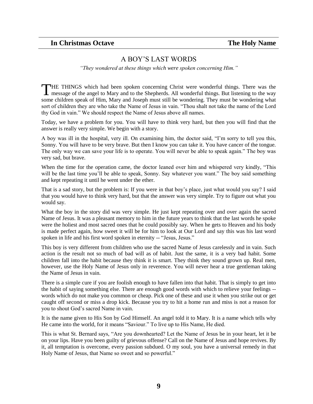### A BOY"S LAST WORDS

*"They wondered at these things which were spoken concerning Him."*

<span id="page-8-0"></span>HE THINGS which had been spoken concerning Christ were wonderful things. There was the THE THINGS which had been spoken concerning Christ were wonderful things. There was the message of the angel to Mary and to the Shepherds. All wonderful things. But listening to the way some children speak of Him, Mary and Joseph must still be wondering. They must be wondering what sort of children they are who take the Name of Jesus in vain. "Thou shalt not take the name of the Lord thy God in vain." We should respect the Name of Jesus above all names.

Today, we have a problem for you. You will have to think very hard, but then you will find that the answer is really very simple. We begin with a story.

A boy was ill in the hospital, very ill. On examining him, the doctor said, "I"m sorry to tell you this, Sonny. You will have to be very brave. But then I know you can take it. You have cancer of the tongue. The only way we can save your life is to operate. You will never be able to speak again." The boy was very sad, but brave.

When the time for the operation came, the doctor leaned over him and whispered very kindly, "This will be the last time you'll be able to speak, Sonny. Say whatever you want." The boy said something and kept repeating it until he went under the ether.

That is a sad story, but the problem is: If you were in that boy"s place, just what would you say? I said that you would have to think very hard, but that the answer was very simple. Try to figure out what you would say.

What the boy in the story did was very simple. He just kept repeating over and over again the sacred Name of Jesus. It was a pleasant memory to him in the future years to think that the last words he spoke were the holiest and most sacred ones that he could possibly say. When he gets to Heaven and his body is made perfect again, how sweet it will be for him to look at Our Lord and say this was his last word spoken in life and his first word spoken in eternity -- "Jesus, Jesus."

This boy is very different from children who use the sacred Name of Jesus carelessly and in vain. Such action is the result not so much of bad will as of habit. Just the same, it is a very bad habit. Some children fall into the habit because they think it is smart. They think they sound grown up. Real men, however, use the Holy Name of Jesus only in reverence. You will never hear a true gentleman taking the Name of Jesus in vain.

There is a simple cure if you are foolish enough to have fallen into that habit. That is simply to get into the habit of saying something else. There are enough good words with which to relieve your feelings - words which do not make you common or cheap. Pick one of these and use it when you strike out or get caught off second or miss a drop kick. Because you try to hit a home run and miss is not a reason for you to shout God"s sacred Name in vain.

It is the name given to His Son by God Himself. An angel told it to Mary. It is a name which tells why He came into the world, for it means "Saviour." To live up to His Name, He died.

This is what St. Bernard says, "Are you downhearted? Let the Name of Jesus be in your heart, let it be on your lips. Have you been guilty of grievous offense? Call on the Name of Jesus and hope revives. By it, all temptation is overcome, every passion subdued. O my soul, you have a universal remedy in that Holy Name of Jesus, that Name so sweet and so powerful."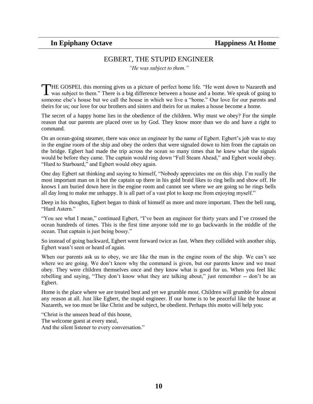#### EGBERT, THE STUPID ENGINEER

*"He was subject to them."*

<span id="page-9-0"></span>THE GOSPEL this morning gives us a picture of perfect home life. "He went down to Nazareth and THE GOSPEL this morning gives us a picture of perfect home life. "He went down to Nazareth and was subject to them." There is a big difference between a house and a home. We speak of going to someone else's house but we call the house in which we live a "home." Our love for our parents and theirs for us; our love for our brothers and sisters and theirs for us makes a house become a home.

The secret of a happy home lies in the obedience of the children. Why must we obey? For the simple reason that our parents are placed over us by God. They know more than we do and have a right to command.

On an ocean-going steamer, there was once an engineer by the name of Egbert. Egbert's job was to stay in the engine room of the ship and obey the orders that were signaled down to him from the captain on the bridge. Egbert had made the trip across the ocean so many times that he knew what the signals would be before they came. The captain would ring down "Full Steam Ahead," and Egbert would obey. "Hard to Starboard," and Egbert would obey again.

One day Egbert sat thinking and saying to himself, "Nobody appreciates me on this ship. I"m really the most important man on it but the captain up there in his gold braid likes to ring bells and show off. He knows I am buried down here in the engine room and cannot see where we are going so he rings bells all day long to make me unhappy. It is all part of a vast plot to keep me from enjoying myself."

Deep in his thoughts, Egbert began to think of himself as more and more important. Then the bell rang, "Hard Astern."

"You see what I mean," continued Egbert, "I"ve been an engineer for thirty years and I"ve crossed the ocean hundreds of times. This is the first time anyone told me to go backwards in the middle of the ocean. That captain is just being bossy."

So instead of going backward, Egbert went forward twice as fast. When they collided with another ship, Egbert wasn"t seen or heard of again.

When our parents ask us to obey, we are like the man in the engine room of the ship. We can't see where we are going. We don't know why the command is given, but our parents know and we must obey. They were children themselves once and they know what is good for us. When you feel likc rebelling and saying, "They don"t know what they are talking about," just remember -- don"t be an Egbert.

Home is the place where we are treated best and yet we grumble most. Children will grumble for almost any reason at all. Just like Egbert, the stupid engineer. If our home is to be peaceful like the house at Nazareth, we too must be like Christ and be subject, be obedient. Perhaps this motto will help you:

"Christ is the unseen bead of this house, The welcome guest at every meal, And the silent listener to every conversation."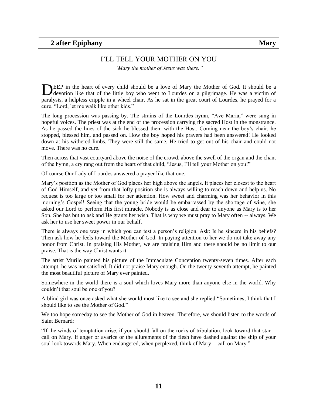#### I"LL TELL YOUR MOTHER ON YOU

*"Mary the mother of Jesus was there."*

<span id="page-10-0"></span>EEP in the heart of every child should be a love of Mary the Mother of God. It should be a DEEP in the heart of every child should be a love of Mary the Mother of God. It should be a devotion like that of the little boy who went to Lourdes on a pilgrimage. He was a victim of paralysis, a helpless cripple in a wheel chair. As he sat in the great court of Lourdes, he prayed for a cure. "Lord, let me walk like other kids."

The long procession was passing by. The strains of the Lourdes hymn, "Ave Maria," were sung in hopeful voices. The priest was at the end of the procession carrying the sacred Host in the monstrance. As he passed the lines of the sick he blessed them with the Host. Coming near the boy"s chair, he stopped, blessed him, and passed on. How the boy hoped his prayers had been answered! He looked down at his withered limbs. They were still the same. He tried to get out of his chair and could not move. There was no cure.

Then across that vast courtyard above the noise of the crowd, above the swell of the organ and the chant of the hymn, a cry rang out from the heart of that child, "Jesus, I"ll tell your Mother on you!"

Of course Our Lady of Lourdes answered a prayer like that one.

Mary"s position as the Mother of God places her high above the angels. It places her closest to the heart of God Himself, and yet from that lofty position she is always willing to reach down and help us. No request is too large or too small for her attention. How sweet and charming was her behavior in this morning"s Gospel! Seeing that the young bride would be embarrassed by the shortage of wine, she asked our Lord to perform His first miracle. Nobody is as close and dear to anyone as Mary is to her Son. She has but to ask and He grants her wish. That is why we must pray to Mary often -- always. We ask her to use her sweet power in our behalf.

There is always one way in which you can test a person's religion. Ask: Is he sincere in his beliefs? Then ask how he feels toward the Mother of God. In paying attention to her we do not take away any honor from Christ. In praising His Mother, we are praising Him and there should be no limit to our praise. That is the way Christ wants it.

The artist Murilo painted his picture of the Immaculate Conception twenty-seven times. After each attempt, he was not satisfied. It did not praise Mary enough. On the twenty-seventh attempt, he painted the most beautiful picture of Mary ever painted.

Somewhere in the world there is a soul which loves Mary more than anyone else in the world. Why couldn"t that soul be one of you?

A blind girl was once asked what she would most like to see and she replied "Sometimes, I think that I should like to see the Mother of God."

We too hope someday to see the Mother of God in heaven. Therefore, we should listen to the words of Saint Bernard:

"If the winds of temptation arise, if you should fall on the rocks of tribulation, look toward that star - call on Mary. If anger or avarice or the allurements of the flesh have dashed against the ship of your soul look towards Mary. When endangered, when perplexed, think of Mary -- call on Mary."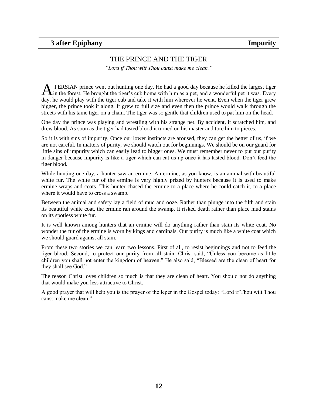# THE PRINCE AND THE TIGER

*"Lord if Thou wilt Thou canst make me clean."*

<span id="page-11-0"></span>PERSIAN prince went out hunting one day. He had a good day because he killed the largest tiger A PERSIAN prince went out hunting one day. He had a good day because he killed the largest tiger<br>A in the forest. He brought the tiger's cub home with him as a pet, and a wonderful pet it was. Every day, he would play with the tiger cub and take it with him wherever he went. Even when the tiger grew bigger, the prince took it along. It grew to full size and even then the prince would walk through the streets with his tame tiger on a chain. The tiger was so gentle that children used to pat him on the head.

One day the prince was playing and wrestling with his strange pet. By accident, it scratched him, and drew blood. As soon as the tiger had tasted blood it turned on his master and tore him to pieces.

So it is with sins of impurity. Once our lower instincts are aroused, they can get the better of us, if we are not careful. In matters of purity, we should watch out for beginnings. We should be on our guard for little sins of impurity which can easily lead to bigger ones. We must remember never to put our purity in danger because impurity is like a tiger which can eat us up once it has tasted blood. Don"t feed the tiger blood.

While hunting one day, a hunter saw an ermine. An ermine, as you know, is an animal with beautiful white fur. The white fur of the ermine is very highly prized by hunters because it is used to make ermine wraps and coats. This hunter chased the ermine to a place where he could catch it, to a place where it would have to cross a swamp.

Between the animal and safety lay a field of mud and ooze. Rather than plunge into the filth and stain its beautiful white coat, the ermine ran around the swamp. It risked death rather than place mud stains on its spotless white fur.

It is well known among hunters that an ermine will do anything rather than stain its white coat. No wonder the fur of the ermine is worn by kings and cardinals. Our purity is much like a white coat which we should guard against all stain.

From these two stories we can learn two lessons. First of all, to resist beginnings and not to feed the tiger blood. Second, to protect our purity from all stain. Christ said, "Unless you become as little children you shall not enter the kingdom of heaven." He also said, "Blessed are the clean of heart for they shall see God."

The reason Christ loves children so much is that they are clean of heart. You should not do anything that would make you less attractive to Christ.

A good prayer that will help you is the prayer of the leper in the Gospel today: "Lord if Thou wilt Thou canst make me clean."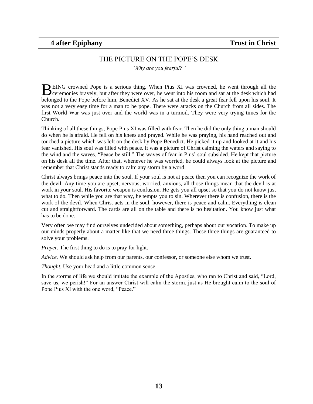# THE PICTURE ON THE POPE"S DESK

*"Why are you fearful?"*

<span id="page-12-0"></span>EING crowned Pope is a serious thing. When Pius XI was crowned, he went through all the BEING crowned Pope is a serious thing. When Pius XI was crowned, he went through all the ceremonies bravely, but after they were over, he went into his room and sat at the desk which had belonged to the Pope before him, Benedict XV. As he sat at the desk a great fear fell upon his soul. It was not a very easy time for a man to be pope. There were attacks on the Church from all sides. The first World War was just over and the world was in a turmoil. They were very trying times for the Church.

Thinking of all these things, Pope Pius XI was filled with fear. Then he did the only thing a man should do when he is afraid. He fell on his knees and prayed. While he was praying, his hand reached out and touched a picture which was left on the desk by Pope Benedict. He picked it up and looked at it and his fear vanished. His soul was filled with peace. It was a picture of Christ calming the waters and saying to the wind and the waves, "Peace be still." The waves of fear in Pius" soul subsided. He kept that picture on his desk all the time. After that, whenever he was worried, he could always look at the picture and remember that Christ stands ready to calm any storm by a word.

Christ always brings peace into the soul. If your soul is not at peace then you can recognize the work of the devil. Any time you are upset, nervous, worried, anxious, all those things mean that the devil is at work in your soul. His favorite weapon is confusion. He gets you all upset so that you do not know just what to do. Then while you are that way, he tempts you to sin. Wherever there is confusion, there is the work of the devil. When Christ acts in the soul, however, there is peace and calm. Everything is clean cut and straightforward. The cards are all on the table and there is no hesitation. You know just what has to be done.

Very often we may find ourselves undecided about something, perhaps about our vocation. To make up our minds properly about a matter like that we need three things. These three things are guaranteed to solve your problems.

*Prayer.* The first thing to do is to pray for light.

*Advice.* We should ask help from our parents, our confessor, or someone else whom we trust.

*Thought.* Use your head and a little common sense.

In the storms of life we should imitate the example of the Apostles, who ran to Christ and said, "Lord, save us, we perish!" For an answer Christ will calm the storm, just as He brought calm to the soul of Pope Pius XI with the one word, "Peace."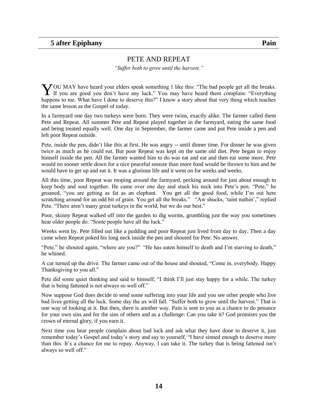#### PETE AND REPEAT

*"Suffer both to grow until the harvest."*

<span id="page-13-0"></span>OU MAY have heard your elders speak something 1 like this: "The bad people get all the breaks. YOU MAY have heard your elders speak something 1 like this: "The bad people get all the breaks.<br>If you are good you don't have any luck." You may have heard them complain: "Everything happens to me. What have I done to deserve this?" I know a story about that very thing which teaches the same lesson as the Gospel of today.

In a farmyard one day two turkeys were born. They were twins, exactly alike. The farmer called them Pete and Repeat. All summer Pete and Repeat played together in the farmyard, eating the same food and being treated equally well. One day in September, the farmer came and put Pete inside a pen and left poor Repeat outside.

Pete, inside the pen, didn"t like this at first. He was angry -- until dinner time. For dinner he was given twice as much as he could eat. But poor Repeat was kept on the same old diet. Pete began to enjoy himself inside the pen. All the farmer wanted him to do was eat and eat and then eat some more. Pete would no sooner settle down for a nice peaceful snooze than more food would be thrown to him and he would have to get up and eat it. It was a glorious life and it went on for weeks and weeks.

All this time, poor Repeat was moping around the farmyard, pecking around for just about enough to keep body and soul together. He came over one day and stuck his neck into Pete's pen. "Pete," he groaned, "you are getting as fat as an elephant. You get all the good food, while I"m out here scratching around for an odd bit of grain. You get all the breaks." "Aw shucks, 'taint nuthin'," replied Pete. "There aren't many great turkeys in the world, but we do our best."

Poor, skinny Repeat walked off into the garden to dig worms, grumbling just the way you sometimes hear older people do: "Some people have all the luck."

Weeks went by. Pete filled out like a pudding and poor Repeat just lived from day to day. Then a day came when Repeat poked his long neck inside the pen and shouted for Pete. No answer.

"Pete," he shouted again, "where are you?" "He has eaten himself to death and I"m starving to death," he whined.

A car turned up the drive. The farmer came out of the house and shouted, "Come in, everybody. Happy Thanksgiving to you all."

Pete did some quiet thinking and said to himself, "I think I"ll just stay happy for a while. The turkey that is being fattened is not always so well off."

Now suppose God does decide to send some suffering into your life and you see other people who live bad lives getting all the luck. Some day the ax will fall. "Suffer both to grow until the harvest." That is one way of looking at it. But then, there is another way. Pain is sent to you as a chance to do penance for your own sins and for the sins of others and as a challenge: Can you take it? God promises you the crown of eternal glory, if you earn it.

Next time you hear people complain about bad luck and ask what they have done to deserve it, just remember today"s Gospel and today"s story and say to yourself, "I have sinned enough to deserve more than this. It"s a chance for me to repay. Anyway, I can take it. The turkey that is being fattened isn"t always so well off."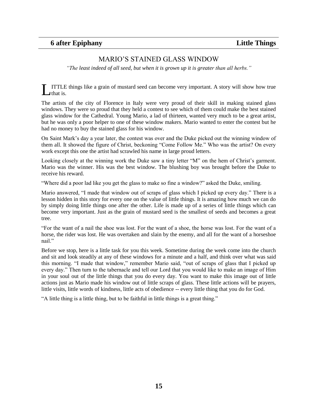# MARIO"S STAINED GLASS WINDOW

<span id="page-14-0"></span>*"The least indeed of all seed, but when it is grown up it is greater than all herbs."*

ITTLE things like a grain of mustard seed can become very important. A story will show how true that is. L

The artists of the city of Florence in Italy were very proud of their skill in making stained glass windows. They were so proud that they held a contest to see which of them could make the best stained glass window for the Cathedral. Young Mario, a lad of thirteen, wanted very much to be a great artist, but he was only a poor helper to one of these window makers. Mario wanted to enter the contest but he had no money to buy the stained glass for his window.

On Saint Mark"s day a year later, the contest was over and the Duke picked out the winning window of them all. It showed the figure of Christ, beckoning "Come Follow Me." Who was the artist? On every work except this one the artist had scrawled his name in large proud letters.

Looking closely at the winning work the Duke saw a tiny letter "M" on the hem of Christ's garment. Mario was the winner. His was the best window. The blushing boy was brought before the Duke to receive his reward.

"Where did a poor lad like you get the glass to make so fine a window?" asked the Duke, smiling.

Mario answered, "I made that window out of scraps of glass which I picked up every day." There is a lesson hidden in this story for every one on the value of little things. It is amazing how much we can do by simply doing little things one after the other. Life is made up of a series of little things which can become very important. Just as the grain of mustard seed is the smallest of seeds and becomes a great tree.

"For the want of a nail the shoe was lost. For the want of a shoe, the horse was lost. For the want of a horse, the rider was lost. He was overtaken and slain by the enemy, and all for the want of a horseshoe nail."

Before we stop, here is a little task for you this week. Sometime during the week come into the church and sit and look steadily at any of these windows for a minute and a half, and think over what was said this morning. "I made that window," remember Mario said, "out of scraps of glass that I picked up every day." Then turn to the tabernacle and tell our Lord that you would like to make an image of Him in your soul out of the little things that you do every day. You want to make this image out of little actions just as Mario made his window out of little scraps of glass. These little actions will be prayers, little visits, little words of kindness, little acts of obedience -- every little thing that you do for God.

"A little thing is a little thing, but to be faithful in little things is a great thing."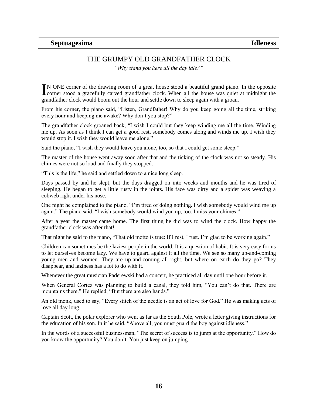# THE GRUMPY OLD GRANDFATHER CLOCK

*"Why stand you here all the day idle?"*

<span id="page-15-0"></span>N ONE corner of the drawing room of a great house stood a beautiful grand piano. In the opposite IN ONE corner of the drawing room of a great house stood a beautiful grand piano. In the opposite corner stood a gracefully carved grandfather clock. When all the house was quiet at midnight the grandfather clock would boom out the hour and settle down to sleep again with a groan.

From his corner, the piano said, "Listen, Grandfather! Why do you keep going all the time, striking every hour and keeping me awake? Why don"t you stop?"

The grandfather clock groaned back, "I wish I could but they keep winding me all the time. Winding me up. As soon as I think I can get a good rest, somebody comes along and winds me up. I wish they would stop it. I wish they would leave me alone."

Said the piano, "I wish they would leave you alone, too, so that I could get some sleep."

The master of the house went away soon after that and the ticking of the clock was not so steady. His chimes were not so loud and finally they stopped.

"This is the life," he said and settled down to a nice long sleep.

Days passed by and he slept, but the days dragged on into weeks and months and he was tired of sleeping. He began to get a little rusty in the joints. His face was dirty and a spider was weaving a cobweb right under his nose.

One night he complained to the piano, "I"m tired of doing nothing. I wish somebody would wind me up again." The piano said, "I wish somebody would wind you up, too. I miss your chimes."

After a year the master came home. The first thing he did was to wind the clock. How happy the grandfather clock was after that!

That night he said to the piano, "That old motto is true: If I rest, I rust. I'm glad to be working again."

Children can sometimes be the laziest people in the world. It is a question of habit. It is very easy for us to let ourselves become lazy. We have to guard against it all the time. We see so many up-and-coming young men and women. They are up-and-coming all right, but where on earth do they go? They disappear, and laziness has a lot to do with it.

Whenever the great musician Paderewski had a concert, he practiced all day until one hour before it.

When General Cortez was planning to build a canal, they told him, "You can"t do that. There are mountains there." He replied, "But there are also hands."

An old monk, used to say, "Every stitch of the needle is an act of love for God." He was making acts of love all day long.

Captain Scott, the polar explorer who went as far as the South Pole, wrote a letter giving instructions for the education of his son. In it he said, "Above all, you must guard the boy against idleness."

In the words of a successful businessman, "The secret of success is to jump at the opportunity." How do you know the opportunity? You don"t. You just keep on jumping.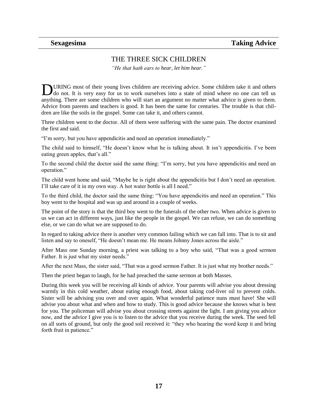### THE THREE SICK CHILDREN

*"He that hath ears to hear*, *let him hear."*

<span id="page-16-0"></span>URING most of their young lives children are receiving advice. Some children take it and others **DURING** most of their young lives children are receiving advice. Some children take it and others do not. It is very easy for us to work ourselves into a state of mind where no one can tell us anything. There are some children who will start an argument no matter what advice is given to them. Advice from parents and teachers is good. It has been the same for centuries. The trouble is that children are like the soils in the gospel. Some can take it, and others cannot.

Three children went to the doctor. All of them were suffering with the same pain. The doctor examined the first and said.

"I"m sorry, but you have appendicitis and need an operation immediately."

The child said to himself, "He doesn"t know what he is talking about. It isn"t appendicitis. I"ve been eating green apples, that's all."

To the second child the doctor said the same thing: "I"m sorry, but you have appendicitis and need an operation."

The child went home and said, "Maybe he is right about the appendicitis but I don"t need an operation. I"ll take care of it in my own way. A hot water bottle is all I need."

To the third child, the doctor said the same thing: "You have appendicitis and need an operation." This boy went to the hospital and was up and around in a couple of weeks.

The point of the story is that the third boy went to the funerals of the other two. When advice is given to us we can act in different ways, just like the people in the gospel. We can refuse, we can do something else, or we can do what we are supposed to do.

In regard to taking advice there is another very common failing which we can fall into. That is to sit and listen and say to oneself, "He doesn't mean me. He means Johnny Jones across the aisle."

After Mass one Sunday morning, a priest was talking to a boy who said, "That was a good sermon Father. It is just what my sister needs."

After the next Mass, the sister said, "That was a good sermon Father. It is just what my brother needs."

Then the priest began to laugh, for he had preached the same sermon at both Masses.

During this week you will be receiving all kinds of advice. Your parents will advise you about dressing warmly in this cold weather, about eating enough food, about taking cod-liver oil to prevent colds. Sister will be advising you over and over again. What wonderful patience nuns must have! She will advise you about what and when and how to study. This is good advice because she knows what is best for you. The policeman will advise you about crossing streets against the light. I am giving you advice now, and the advice I give you is to listen to the advice that you receive during the week. The seed fell on all sorts of ground, but only the good soil received it: "they who hearing the word keep it and bring forth fruit in patience."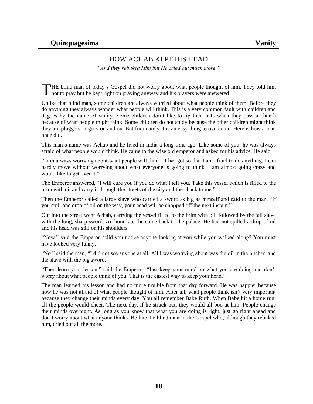# HOW ACHAB KEPT HIS HEAD

*"And they rebuked Him but He cried out much more."*

<span id="page-17-0"></span>HE blind man of today's Gospel did not worry about what people thought of him. They told him THE blind man of today's Gospel did not worry about what people thought of not to pray but he kept right on praying anyway and his prayers were answered.

Unlike that blind man, some children are always worried about what people think of them. Before they do anything they always wonder what people will think. This is a very common fault with children and it goes by the name of vanity. Some children don"t like to tip their hats when they pass a church because of what people might think. Some children do not study because the other children might think they are pluggers. It goes on and on. But fortunately it is an easy thing to overcome. Here is how a man once did.

This man"s name was Achab and he lived in India a long time ago. Like some of you, he was always afraid of what people would think. He came to the wise old emperor and asked for his advice. He said:

"I am always worrying about what people will think. It has got so that I am afraid to do anything. I can hardly move without worrying about what everyone is going to think. I am almost going crazy and would like to get over it."

The Emperor answered, "I will cure you if you do what I tell you. Take this vessel which is filled to the brim with oil and carry it through the streets of the city and then back to me."

Then the Emperor called a large slave who carried a sword as big as himself and said to the man, "If you spill one drop of oil on the way, your head will be chopped off the next instant."

Out into the street went Achab, carrying the vessel filled to the brim with oil, followed by the tall slave with the long, sharp sword. An hour later he came back to the palace. He had not spilled a drop of oil and his head was still on his shoulders.

"Now," said the Emperor, "did you notice anyone looking at you while you walked along? You must have looked very funny."

"No," said the man, "I did not see anyone at all. All I was worrying about was the oil in the pitcher, and the slave with the big sword."

"Then learn your lesson," said the Emperor. "Just keep your mind on what you are doing and don"t worry about what people think of you. That is the easiest way to keep your head."

The man learned his lesson and had no more trouble from that day forward. He was happier because now he was not afraid of what people thought of him. After all, what people think isn't very important because they change their minds every day. You all remember Babe Ruth. When Babe hit a home run, all the people would cheer. The next day, if he struck out, they would all boo at him. People change their minds overnight. As long as you know that what you are doing is right, just go right ahead and don"t worry about what anyone thinks. Be like the blind man in the Gospel who, although they rebuked him, cried out all the more.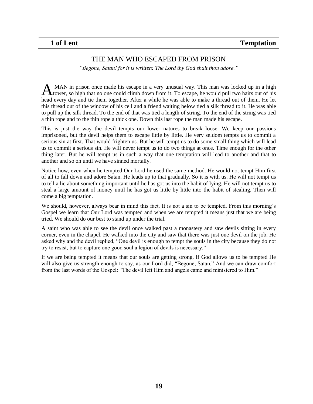### THE MAN WHO ESCAPED FROM PRISON

*"Begone, Satan! for it is written: The Lord thy God shalt thou adore."*

<span id="page-18-0"></span>MAN in prison once made his escape in a very unusual way. This man was locked up in a high AM In prison once made his escape in a very unusual way. This man was locked up in a high thower, so high that no one could climb down from it. To escape, he would pull two hairs out of his head every day and tie them together. After a while he was able to make a thread out of them. He let this thread out of the window of his cell and a friend waiting below tied a silk thread to it. He was able to pull up the silk thread. To the end of that was tied a length of string. To the end of the string was tied a thin rope and to the thin rope a thick one. Down this last rope the man made his escape.

This is just the way the devil tempts our lower natures to break loose. We keep our passions imprisoned, but the devil helps them to escape little by little. He very seldom tempts us to commit a serious sin at first. That would frighten us. But he will tempt us to do some small thing which will lead us to commit a serious sin. He will never tempt us to do two things at once. Time enough for the other thing later. But he will tempt us in such a way that one temptation will lead to another and that to another and so on until we have sinned mortally.

Notice how, even when he tempted Our Lord he used the same method. He would not tempt Him first of all to fall down and adore Satan. He leads up to that gradually. So it is with us. He will not tempt us to tell a lie about something important until he has got us into the habit of lying. He will not tempt us to steal a large amount of money until he has got us little by little into the habit of stealing. Then will come a big temptation.

We should, however, always bear in mind this fact. It is not a sin to be tempted. From this morning's Gospel we learn that Our Lord was tempted and when we are tempted it means just that we are being tried. We should do our best to stand up under the trial.

A saint who was able to see the devil once walked past a monastery and saw devils sitting in every corner, even in the chapel. He walked into the city and saw that there was just one devil on the job. He asked why and the devil replied, "One devil is enough to tempt the souls in the city because they do not try to resist, but to capture one good soul a legion of devils is necessary."

If we are being tempted it means that our souls are getting strong. If God allows us to be tempted He will also give us strength enough to say, as our Lord did, "Begone, Satan." And we can draw comfort from the last words of the Gospel: "The devil left Him and angels came and ministered to Him."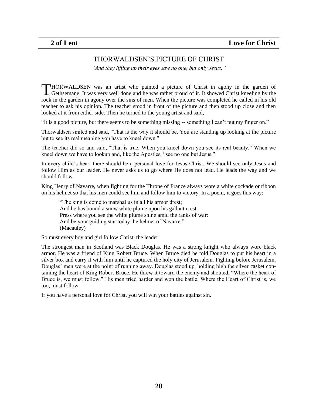#### THORWALDSEN"S PICTURE OF CHRIST

*"And they lifting up their eyes saw no one, but only Jesus."*

<span id="page-19-0"></span>HORWALDSEN was an artist who painted a picture of Christ in agony in the garden of THORWALDSEN was an artist who painted a picture of Christ in agony in the garden of Gethsemane. It was very well done and he was rather proud of it. It showed Christ kneeling by the rock in the garden in agony over the sins of men. When the picture was completed he called in his old teacher to ask his opinion. The teacher stood in front of the picture and then stood up close and then looked at it from either side. Then he turned to the young artist and said,

"It is a good picture, but there seems to be something missing -- something I can"t put my finger on."

Thorwaldsen smiled and said, "That is the way it should be. You are standing up looking at the picture but to see its real meaning you have to kneel down."

The teacher did so and said, "That is true. When you kneel down you see its real beauty." When we kneel down we have to lookup and, like the Apostles, "see no one but Jesus."

In every child"s heart there should be a personal love for Jesus Christ. We should see only Jesus and follow Him as our leader. He never asks us to go where He does not lead. He leads the way and we should follow.

King Henry of Navarre, when fighting for the Throne of France always wore a white cockade or ribbon on his helmet so that his men could see him and follow him to victory. In a poem, it goes this way:

"The king is come to marshal us in all his armor drest; And he has bound a snow white plume upon his gallant crest. Press where you see the white plume shine amid the ranks of war; And be your guiding star today the helmet of Navarre." (Macauley)

So must every boy and girl follow Christ, the leader.

The strongest man in Scotland was Black Douglas. He was a strong knight who always wore black armor. He was a friend of King Robert Bruce. When Bruce died he told Douglas to put his heart in a silver box and carry it with him until he captured the holy city of Jerusalem. Fighting before Jerusalem, Douglas" men were at the point of running away. Douglas stood up, holding high the silver casket containing the heart of King Robert Bruce. He threw it toward the enemy and shouted, "Where the heart of Bruce is, we must follow." His men tried harder and won the battle. Where the Heart of Christ is, we too, must follow.

If you have a personal love for Christ, you will win your battles against sin.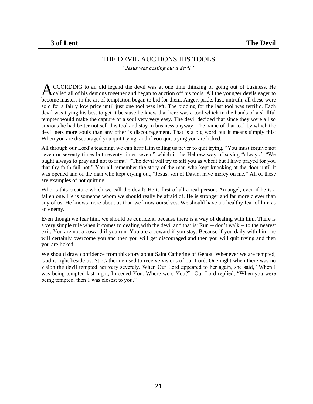#### THE DEVIL AUCTIONS HIS TOOLS

*"Jesus was casting out a devil."*

<span id="page-20-0"></span>CCORDING to an old legend the devil was at one time thinking of going out of business. He called all of his demons together and began to auction off his tools. All the younger devils eager to become masters in the art of temptation began to bid for them. Anger, pride, lust, untruth, all these were sold for a fairly low price until just one tool was left. The bidding for the last tool was terrific. Each devil was trying his best to get it because he knew that here was a tool which in the hands of a skillful tempter would make the capture of a soul very very easy. The devil decided that since they were all so anxious he had better not sell this tool and stay in business anyway. The name of that tool by which the devil gets more souls than any other is discouragement. That is a big word but it means simply this: When you are discouraged you quit trying, and if you quit trying you are licked. A

All through our Lord"s teaching, we can hear Him telling us never to quit trying. "You must forgive not seven or seventy times but seventy times seven," which is the Hebrew way of saying "always." "We ought always to pray and not to faint." "The devil will try to sift you as wheat but I have prayed for you that thy faith fail not." You all remember the story of the man who kept knocking at the door until it was opened and of the man who kept crying out, "Jesus, son of David, have mercy on me." All of these are examples of not quitting.

Who is this creature which we call the devil? He is first of all a real person. An angel, even if he is a fallen one. He is someone whom we should really be afraid of. He is stronger and far more clever than any of us. He knows more about us than we know ourselves. We should have a a healthy fear of him as an enemy.

Even though we fear him, we should be confident, because there is a way of dealing with him. There is a very simple rule when it comes to dealing with the devil and that is: Run -- don"t walk -- to the nearest exit. You are not a coward if you run. You are a coward if you stay. Because if you daily with him, he will certainly overcome you and then you will get discouraged and then you will quit trying and then you are licked.

We should draw confidence from this story about Saint Catherine of Genoa. Whenever we are tempted, God is right beside us. St. Catherine used to receive visions of our Lord. One night when there was no vision the devil tempted her very severely. When Our Lord appeared to her again, she said, "When I was being tempted last night, I needed You. Where were You?" Our Lord replied, "When you were being tempted, then 1 was closest to you."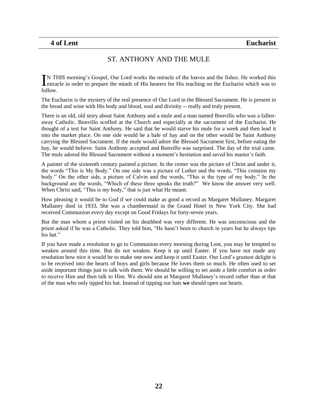# ST. ANTHONY AND THE MULE

<span id="page-21-0"></span>N THIS morning"s Gospel, Our Lord works the miracle of the loaves and the fishes. He worked this IN THIS morning's Gospel, Our Lord works the miracle of the loaves and the fishes. He worked this miracle in order to prepare the minds of His hearers for His teaching on the Eucharist which was to follow.

The Eucharist is the mystery of the real presence of Our Lord in the Blessed Sacrament. He is present in the bread and wine with His body and blood, soul and divinity -- really and truly present.

There is an old, old story about Saint Anthony and a mule and a man named Bonvillo who was a fallenaway Catholic. Bonvillo scoffed at the Church and especially at the sacrament of the Eucharist. He thought of a test for Saint Anthony. He said that he would starve his mule for a week and then lead it into the market place. On one side would be a bale of hay and on the other would be Saint Anthony carrying the Blessed Sacrament. If the mule would adore the Blessed Sacrament first, before eating the hay, he would believe. Saint Anthony accepted and Bonvillo was surprised. The day of the trial came. The mule adored the Blessed Sacrament without a moment's hesitation and saved his master's faith.

A painter of the sixteenth century painted a picture. In the center was the picture of Christ and under it, the words "This is My Body." On one side was a picture of Luther and the words, "This contains my body." On the other side, a picture of Calvin and the words, "This is the type of my body." In the background are the words, "Which of these three speaks the truth?" We know the answer very well. When Christ said, "This is my body," that is just what He meant.

How pleasing it would be to God if we could make as good a record as Margaret Mullaney. Margaret Mullaney died in 1933**.** She was a chambermaid in the Grand Hotel in New York City. She had received Communion every day except on Good Fridays for forty-seven years.

But the man whom a priest visited on his deathbed was very different. He was unconscious and the priest asked if he was a Catholic. They told him, "He hasn"t been to church in years but he always tips his hat."

If you have made a resolution to go to Communion every morning during Lent, you may be tempted to weaken around this time. But do not weaken. Keep it up until Easter. If you have not made any resolution how nice it would be to make one now and keep it until Easter. Our Lord"s greatest delight is to be received into the hearts of boys and girls because He loves them so much. He often used to set aside important things just to talk with them. We should be willing to set aside a little comfort in order to receive Him and then talk to Him. We should aim at Margaret Mullaney"s record rather than at that of the man who only tipped his hat. Instead of tipping our hats **we** should open our hearts.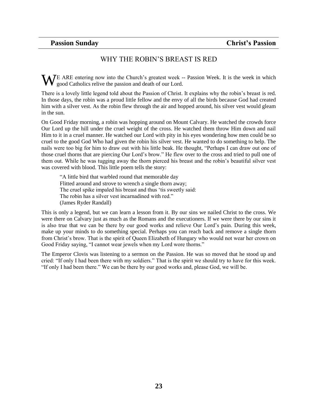# WHY THE ROBIN"S BREAST IS RED

<span id="page-22-0"></span>E ARE entering now into the Church"s greatest week -- Passion Week. It is the week in which  $\mathbf{W}$  E ARE entering now into the Church's greatest week - good Catholics relive the passion and death of our Lord.

There is a lovely little legend told about the Passion of Christ. It explains why the robin"s breast is red. In those days, the robin was a proud little fellow and the envy of all the birds because God had created him with a silver vest. As the robin flew through the air and hopped around, his silver vest would gleam in the sun.

On Good Friday morning, a robin was hopping around on Mount Calvary. He watched the crowds force Our Lord up the hill under the cruel weight of the cross. He watched them throw Him down and nail Him to it in a cruel manner. He watched our Lord with pity in his eyes wondering how men could be so cruel to the good God Who had given the robin his silver vest. He wanted to do something to help. The nails were too big for him to draw out with his little beak. He thought, "Perhaps I can draw out one of those cruel thorns that are piercing Our Lord"s brow." He flew over to the cross and tried to pull one of them out. While he was tugging away the thorn pierced his breast and the robin"s beautiful silver vest was covered with blood. This little poem tells the story:

"A little bird that warbled round that memorable day Flitted around and strove to wrench a single thorn away; The cruel spike impaled his breast and thus "tis sweetly said: The robin has a silver vest incarnadined with red." (James Ryder Randall)

This is only a legend, but we can learn a lesson from it. By our sins we nailed Christ to the cross. We were there on Calvary just as much as the Romans and the executioners. If we were there by our sins it is also true that we can be there by our good works and relieve Our Lord"s pain. During this week, make up your minds to do something special. Perhaps you can reach back and remove a single thorn from Christ"s brow. That is the spirit of Queen Elizabeth of Hungary who would not wear her crown on Good Friday saying, "I cannot wear jewels when my Lord wore thorns."

The Emperor Clovis was listening to a sermon on the Passion. He was so moved that he stood up and cried: "If only I had been there with my soldiers." That is the spirit we should try to have for this week. "If only I had been there." We can be there by our good works and, please God, we will be.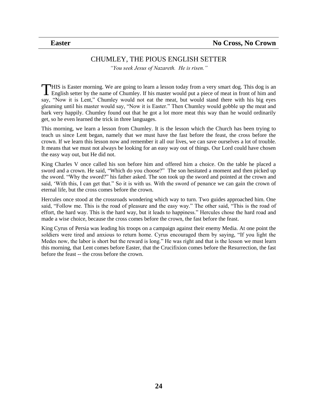# CHUMLEY, THE PIOUS ENGLISH SETTER

*"You seek Jesus of Nazareth. He is risen."*

<span id="page-23-0"></span>HIS is Easter morning. We are going to learn a lesson today from a very smart dog. This dog is an THIS is Easter morning. We are going to learn a lesson today from a very smart dog. This dog is an English setter by the name of Chumley. If his master would put a piece of meat in front of him and say, "Now it is Lent," Chumley would not eat the meat, but would stand there with his big eyes gleaming until his master would say, "Now it is Easter." Then Chumley would gobble up the meat and bark very happily. Chumley found out that he got a lot more meat this way than he would ordinarily get, so he even learned the trick in three languages.

This morning, we learn a lesson from Chumley. It is the lesson which the Church has been trying to teach us since Lent began, namely that we must have the fast before the feast, the cross before the crown. If we learn this lesson now and remember it all our lives, we can save ourselves a lot of trouble. It means that we must not always be looking for an easy way out of things. Our Lord could have chosen the easy way out, but He did not.

King Charles V once called his son before him and offered him a choice. On the table he placed a sword and a crown. He said, "Which do you choose?" The son hesitated a moment and then picked up the sword. "Why the sword?" his father asked. The son took up the sword and pointed at the crown and said, "With this, I can get that." So it is with us. With the sword of penance we can gain the crown of eternal life, but the cross comes before the crown.

Hercules once stood at the crossroads wondering which way to turn. Two guides approached him. One said, "Follow me. This is the road of pleasure and the easy way." The other said, "This is the road of effort, the hard way. This is the hard way, but it leads to happiness." Hercules chose the hard road and made a wise choice, because the cross comes before the crown, the fast before the feast.

King Cyrus of Persia was leading his troops on a campaign against their enemy Media. At one point the soldiers were tired and anxious to return home. Cyrus encouraged them by saying, "If you light the Medes now, the labor is short but the reward is long." He was right and that is the lesson we must learn this morning, that Lent comes before Easter, that the Crucifixion comes before the Resurrection, the fast before the feast -- the cross before the crown.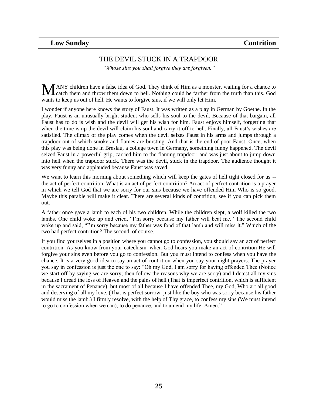# THE DEVIL STUCK IN A TRAPDOOR

*"Whose sins you shall forgive they are forgiven."*

<span id="page-24-0"></span>ANY children have a false idea of God. They think of Him as a monster, waiting for a chance to catch them and throw them down to hell. Nothing could be farther from the truth than this. God wants to keep us out of hell. He wants to forgive sins, if we will only let Him. M

I wonder if anyone here knows the story of Faust. It was written as a play in German by Goethe. In the play, Faust is an unusually bright student who sells his soul to the devil. Because of that bargain, all Faust has to do is wish and the devil will get his wish for him. Faust enjoys himself, forgetting that when the time is up the devil will claim his soul and carry it off to hell. Finally, all Faust's wishes are satisfied. The climax of the play comes when the devil seizes Faust in his arms and jumps through a trapdoor out of which smoke and flames are bursting. And that is the end of poor Faust. Once, when this play was being done in Breslau, a college town in Germany, something funny happened. The devil seized Faust in a powerful grip, carried him to the flaming trapdoor, and was just about to jump down into hell when the trapdoor stuck. There was the devil, stuck in the trapdoor. The audience thought it was very funny and applauded because Faust was saved.

We want to learn this morning about something which will keep the gates of hell tight closed for us -the act of perfect contrition. What is an act of perfect contrition? An act of perfect contrition is a prayer in which we tell God that we are sorry for our sins because we have offended Him Who is so good. Maybe this parable will make it clear. There are several kinds of contrition, see if you can pick them out.

A father once gave a lamb to each of his two children. While the children slept, a wolf killed the two lambs. One child woke up and cried, "I"m sorry because my father will beat me." The second child woke up and said, "I"m sorry because my father was fond of that lamb and will miss it." Which of the two had perfect contrition? The second, of course.

If you find yourselves in a position where you cannot go to confession, you should say an act of perfect contrition. As you know from your catechism, when God hears you make an act of contrition He will forgive your sins even before you go to confession. But you must intend to confess when you have the chance. It is a very good idea to say an act of contrition when you say your night prayers. The prayer you say in confession is just the one to say: "Oh my God, I am sorry for having offended Thee (Notice we start off by saying we are sorry; then follow the reasons why we are sorry) and I detest all my sins because I dread the loss of Heaven and the pains of hell (That is imperfect contrition, which is sufficient in the sacrament of Penance), but most of all because I have offended Thee, my God, Who art all good and deserving of all my love. (That is perfect sorrow, just like the boy who was sorry because his father would miss the lamb.) I firmly resolve, with the help of Thy grace, to confess my sins (We must intend to go to confession when we can), to do penance, and to amend my life. Amen."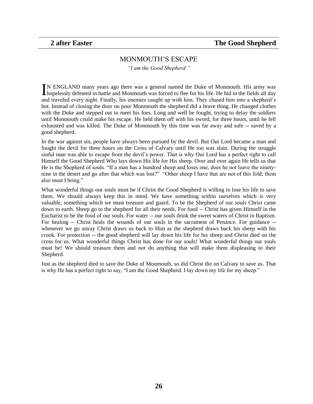#### MONMOUTH"S ESCAPE

*"I am the Good Shepherd."*

<span id="page-25-0"></span>N ENGLAND many years ago there was a general named the Duke of Monmouth. His army was IN ENGLAND many years ago there was a general named the Duke of Monmouth. His army was hopelessly defeated in battle and Monmouth was forced to flee for his life. He hid in the fields all day and traveled every night. Finally, his enemies caught up with him. They chased him into a shepherd"s hut. Instead of closing the door on poor Monmouth the shepherd did a brave thing. He changed clothes with the Duke and stepped out to meet his foes. Long and well he fought, trying to delay the soldiers until Monmouth could make his escape. He held them off with his sword, for three hours, until he fell exhausted and was killed. The Duke of Monmouth by this time was far away and safe -- saved by a good shepherd.

In the war against sin, people have always been pursued by the devil. But Our Lord became a man and fought the devil for three hours on the Cross of Calvary until He too was slain. During the struggle sinful man was able to escape from the devil"s power. That is why Our Lord has a perfect right to call Himself the Good Shepherd Who lays down His life for His sheep. Over and over again He tells us that He is the Shepherd of souls. "If a man has a hundred sheep and loses one, does he not leave the ninetynine in the desert and go after that which was lost?" "Other sheep I have that are not of this fold; them also must I bring."

What wonderful things our souls must be if Christ the Good Shepherd is willing to lose his life to save them. We should always keep this in mind. We have something within ourselves which is very valuable, something which we must treasure and guard. To be the Shepherd of our souls Christ came down to earth. Sheep go to the shepherd for all their needs. For food -- Christ has given Himself in the Eucharist to be the food of our souls. For water -- our souls drink the sweet waters of Christ in Baptism. For healing -- Christ heals the wounds of our souls in the sacrament of Penance. For guidance - whenever we go astray Christ draws us back to Him as the shepherd draws back his sheep with his crook. For protection -- the good shepherd will lay down his life for his sheep and Christ died on the cross for us. What wonderful things Christ has done for our souls! What wonderful things our souls must be! We should treasure them and not do anything that will make them displeasing to their Shepherd.

Just as the shepherd died to save the Duke of Monmouth, so did Christ die on Calvary to save us. That is why He has a perfect right to say, "I am the Good Shepherd. I lay down my life for my sheep."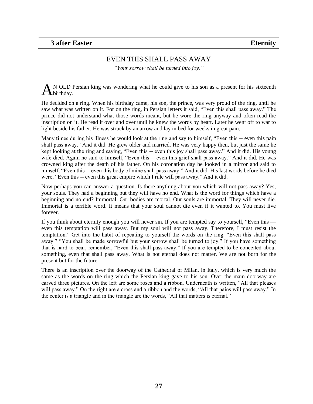# EVEN THIS SHALL PASS AWAY

*"Your sorrow shall be turned into joy."*

<span id="page-26-0"></span>N OLD Persian king was wondering what he could give to his son as a present for his sixteenth  $A_{\text{birthday}}^{\text{N OLD}}$ 

He decided on a ring. When his birthday came, his son, the prince, was very proud of the ring, until he saw what was written on it. For on the ring, in Persian letters it said, "Even this shall pass away." The prince did not understand what those words meant, but he wore the ring anyway and often read the inscription on it. He read it over and over until he knew the words by heart. Later he went off to war to light beside his father. He was struck by an arrow and lay in bed for weeks in great pain.

Many times during his illness he would look at the ring and say to himself, "Even this -- even this pain shall pass away." And it did. He grew older and married. He was very happy then, but just the same he kept looking at the ring and saying, "Even this -- even this joy shall pass away." And it did. His young wife died. Again he said to himself, "Even this -- even this grief shall pass away." And it did. He was crowned king after the death of his father. On his coronation day he looked in a mirror and said to himself, "Even this -- even this body of mine shall pass away." And it did. His last words before he died were, "Even this -- even this great empire which I rule will pass away." And it did.

Now perhaps you can answer a question. Is there anything about you which will not pass away? Yes, your souls. They had a beginning but they will have no end. What is the word for things which have a beginning and no end? Immortal. Our bodies are mortal. Our souls are immortal. They will never die. Immortal is a terrible word. It means that your soul cannot die even if it wanted to. You must live forever.

If you think about eternity enough you will never sin. If you are tempted say to yourself, "Even this even this temptation will pass away. But my soul will not pass away. Therefore, I must resist the temptation." Get into the habit of repeating to yourself the words on the ring. "Even this shall pass away." "You shall be made sorrowful but your sorrow shall be turned to joy." If you have something that is hard to bear, remember, "Even this shall pass away." If you are tempted to be conceited about something, even that shall pass away. What is not eternal does not matter. We are not born for the present but for the future.

There is an inscription over the doorway of the Cathedral of Milan, in Italy, which is very much the same as the words on the ring which the Persian king gave to his son. Over the main doorway are carved three pictures. On the left are some roses and a ribbon. Underneath is written, "All that pleases will pass away." On the right are a cross and a ribbon and the words, "All that pains will pass away." In the center is a triangle and in the triangle are the words, "All that matters is eternal."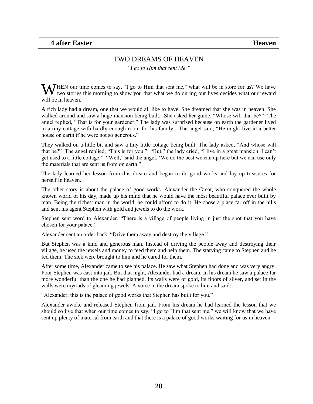#### TWO DREAMS OF HEAVEN

*"I go to Him that sent Me."*

<span id="page-27-0"></span>WHEN our time comes to say, "I go to Him that sent me," what will be in store for us? We have two stories this morning to show you that what we do during our lives decides what our reward two stories this morning to show you that what we do during our lives decides what our reward will be in heaven.

A rich lady had a dream, one that we would all like to have. She dreamed that she was in heaven. She walked around and saw a huge mansion being built. She asked her guide, "Whose will that be?" The angel replied, "That is for your gardener." The lady was surprised because on earth the gardener lived in a tiny cottage with hardly enough room for his family. The angel said, "He might live in a better house on earth if he were not so generous."

They walked on a little bit and saw a tiny little cottage being built. The lady asked, "And whose will that be?" The angel replied, "This is for you." "But," the lady cried, "I live in a great mansion. I can"t get used to a little cottage." "Well," said the angel, "We do the best we can up here but we can use only the materials that are sent us from on earth."

The lady learned her lesson from this dream and began to do good works and lay up treasures for herself in heaven.

The other story is about the palace of good works. Alexander the Great, who conquered the whole known world of his day, made up his mind that he would have the most beautiful palace ever built by man. Being the richest man in the world, he could afford to do it. He chose a place far off in the hills and sent his agent Stephen with gold and jewels to do the work.

Stephen sent word to Alexander. "There is a village of people living in just the spot that you have chosen for your palace."

Alexander sent an order back, "Drive them away and destroy the village."

But Stephen was a kind and generous man. Instead of driving the people away and destroying their village, he used the jewels and money to feed them and help them. The starving came to Stephen and he fed them. The sick were brought to him and he cared for them.

After some time, Alexander came to see his palace. He saw what Stephen had done and was very angry. Poor Stephen was cast into jail. But that night, Alexander had a dream. In his dream he saw a palace far more wonderful than the one he had planned. Its walls were of gold, its floors of silver, and set in the walls were myriads of gleaming jewels. A voice in the dream spoke to him and said:

"Alexander, this is the palace of good works that Stephen has built for you."

Alexander awoke and released Stephen from jail. From his dream he had learned the lesson that we should so live that when our time comes to say, "I go to Him that sent me," we will know that we have sent up plenty of material from earth and that there is a palace of good works waiting for us in heaven.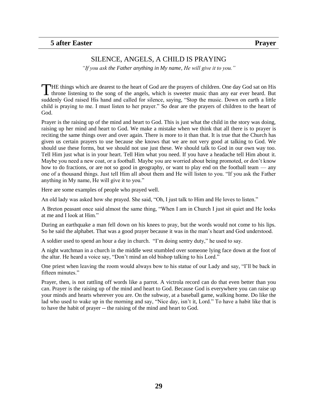#### SILENCE, ANGELS, A CHILD IS PRAYING

*"If you ask the Father anything in My name*, *He will give it to you."*

<span id="page-28-0"></span>THE things which are dearest to the heart of God are the prayers of children. One day God sat on His THE things which are dearest to the heart of God are the prayers of children. One day God sat on His throne listening to the song of the angels, which is sweeter music than any ear ever heard. But suddenly God raised His hand and called for silence, saying, "Stop the music. Down on earth a little child is praying to me. I must listen to her prayer." So dear are the prayers of children to the heart of God.

Prayer is the raising up of the mind and heart to God. This is just what the child in the story was doing, raising up her mind and heart to God. We make a mistake when we think that all there is to prayer is reciting the same things over and over again. There is more to it than that. It is true that the Church has given us certain prayers to use because she knows that we are not very good at talking to God. We should use these forms, but we should not use just these. We should talk to God in our own way too. Tell Him just what is in your heart. Tell Him what you need. If you have a headache tell Him about it. Maybe you need a new coat, or a football. Maybe you are worried about being promoted, or don"t know how to do fractions, or are not so good in geography, or want to play end on the football team — any one of a thousand things. Just tell Him all about them and He will listen to you. "If you ask the Father anything in My name, He will give it to you."

Here are some examples of people who prayed well.

An old lady was asked how she prayed. She said, "Oh, I just talk to Him and He loves to listen."

A Breton peasant once said almost the same thing, "When I am in Church I just sit quiet and He looks at me and I look at Him."

During an earthquake a man fell down on his knees to pray, but the words would not come to his lips. So he said the alphabet. That was a good prayer because it was in the man"s heart and God understood.

A soldier used to spend an hour a day in church. "I"m doing sentry duty," he used to say.

A night watchman in a church in the middle west stumbled over someone lying face down at the foot of the altar. He heard a voice say, "Don"t mind an old bishop talking to his Lord."

One priest when leaving the room would always bow to his statue of our Lady and say, "I"ll be back in fifteen minutes."

Prayer, then, is not rattling off words like a parrot. A victrola record can do that even better than you can. Prayer is the raising up of the mind and heart to God. Because God is everywhere you can raise up your minds and hearts wherever you are. On the subway, at a baseball game, walking home. Do like the lad who used to wake up in the morning and say, "Nice day, isn't it, Lord." To have a habit like that is to have the habit of prayer -- the raising of the mind and heart to God.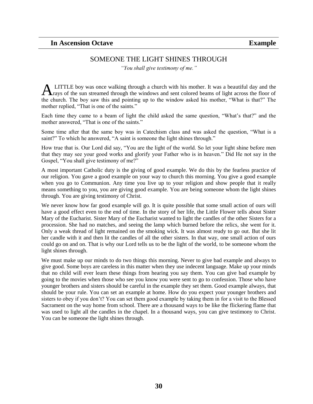### SOMEONE THE LIGHT SHINES THROUGH

*"You shall give testimony of me."*

<span id="page-29-0"></span>LITTLE boy was once walking through a church with his mother. It was a beautiful day and the ALITTLE boy was once walking through a church with his mother. It was a beautiful day and the rays of the sun streamed through the windows and sent colored beams of light across the floor of the church. The boy saw this and pointing up to the window asked his mother, "What is that?" The mother replied, "That is one of the saints."

Each time they came to a beam of light the child asked the same question, "What's that?" and the mother answered, "That is one of the saints."

Some time after that the same boy was in Catechism class and was asked the question, "What is a saint?" To which he answered, "A saint is someone the light shines through."

How true that is. Our Lord did say, "You are the light of the world. So let your light shine before men that they may see your good works and glorify your Father who is in heaven." Did He not say in the Gospel, "You shall give testimony of me?"

A most important Catholic duty is the giving of good example. We do this by the fearless practice of our religion. You gave a good example on your way to church this morning. You give a good example when you go to Communion. Any time you live up to your religion and show people that it really means something to you, you are giving good example. You are being someone whom the light shines through. You are giving testimony of Christ.

We never know how far good example will go. It is quite possible that some small action of ours will have a good effect even to the end of time. In the story of her life, the Little Flower tells about Sister Mary of the Eucharist. Sister Mary of the Eucharist wanted to light the candles of the other Sisters for a procession. She had no matches, and seeing the lamp which burned before the relics, she went for it. Only a weak thread of light remained on the smoking wick. It was almost ready to go out. But she lit her candle with it and then lit the candles of all the other sisters. In that way, one small action of ours could go on and on. That is why our Lord tells us to be the light of the world, to be someone whom the light shines through.

We must make up our minds to do two things this morning. Never to give bad example and always to give good. Some boys are careless in this matter when they use indecent language. Make up your minds that no child will ever learn these things from hearing you say them. You can give bad example by going to the movies when those who see you know you were sent to go to confession. Those who have younger brothers and sisters should be careful in the example they set them. Good example always, that should be your rule. You can set an example at home. How do you expect your younger brothers and sisters to obey if you don"t? You can set them good example by taking them in for a visit to the Blessed Sacrament on the way home from school. There are a thousand ways to be like the flickering flame that was used to light all the candles in the chapel. In a thousand ways, you can give testimony to Christ. You can be someone the light shines through.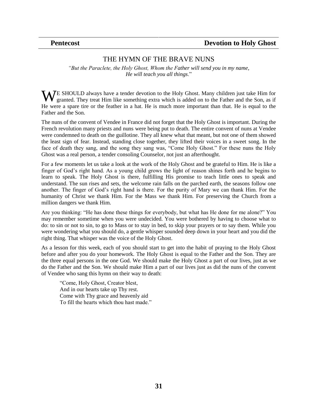#### THE HYMN OF THE BRAVE NUNS

<span id="page-30-0"></span>*"But the Paraclete, the Holy Ghost, Whom the Father will send you in my name, He will teach you all things*."

WE SHOULD always have a tender devotion to the Holy Ghost. Many children just take Him for granted. They treat Him like something extra which is added on to the Father and the Son, as if granted. They treat Him like something extra which is added on to the Father and the Son, as if He were a spare tire or the feather in a hat. He is much more important than that. He is equal to the Father and the Son.

The nuns of the convent of Vendee in France did not forget that the Holy Ghost is important. During the French revolution many priests and nuns were being put to death. The entire convent of nuns at Vendee were condemned to death on the guillotine. They all knew what that meant, but not one of them showed the least sign of fear. Instead, standing close together, they lifted their voices in a sweet song. In the face of death they sang, and the song they sang was, "Come Holy Ghost." For these nuns the Holy Ghost was a real person, a tender consoling Counselor, not just an afterthought.

For a few moments let us take a look at the work of the Holy Ghost and be grateful to Him. He is like a finger of God"s right hand. As a young child grows the light of reason shines forth and he begins to learn to speak. The Holy Ghost is there, fulfilling His promise to teach little ones to speak and understand. The sun rises and sets, the welcome rain falls on the parched earth, the seasons follow one another. The finger of God"s right hand is there. For the purity of Mary we can thank Him. For the humanity of Christ we thank Him. For the Mass we thank Him. For preserving the Church from a million dangers we thank Him.

Are you thinking: "He has done these things for everybody, but what has He done for me alone?" You may remember sometime when you were undecided. You were bothered by having to choose what to do: to sin or not to sin, to go to Mass or to stay in bed, to skip your prayers or to say them. While you were wondering what you should do, a gentle whisper sounded deep down in your heart and you did the right thing. That whisper was the voice of the Holy Ghost.

As a lesson for this week, each of you should start to get into the habit of praying to the Holy Ghost before and after you do your homework. The Holy Ghost is equal to the Father and the Son. They are the three equal persons in the one God. We should make the Holy Ghost a part of our lives, just as we do the Father and the Son. We should make Him a part of our lives just as did the nuns of the convent of Vendee who sang this hymn on their way to death:

"Come, Holy Ghost, Creator blest, And in our hearts take up Thy rest. Come with Thy grace and heavenly aid To fill the hearts which thou hast made."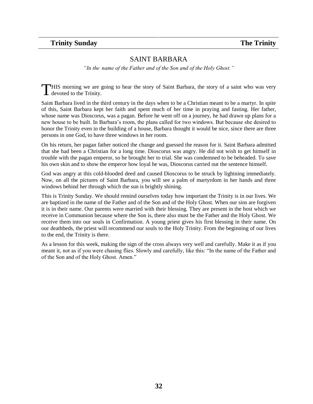# <span id="page-31-0"></span>**Trinity Sunday The Trinity**

#### SAINT BARBARA

*"In the name of the Father and of the Son and of the Holy Ghost."*

HIS morning we are going to hear the story of Saint Barbara, the story of a saint who was very THIS morning we are get devoted to the Trinity.

Saint Barbara lived in the third century in the days when to be a Christian meant to be a martyr. In spite of this, Saint Barbara kept her faith and spent much of her time in praying and fasting. Her father, whose name was Dioscorus, was a pagan. Before he went off on a journey, he had drawn up plans for a new house to be built. In Barbara"s room, the plans called for two windows. But because she desired to honor the Trinity even in the building of a house, Barbara thought it would be nice, since there are three persons in one God, to have three windows in her room.

On his return, her pagan father noticed the change and guessed the reason for it. Saint Barbara admitted that she had been a Christian for a long time. Dioscorus was angry. He did not wish to get himself in trouble with the pagan emperor, so he brought her to trial. She was condemned to be beheaded. To save his own skin and to show the emperor how loyal he was, Dioscorus carried out the sentence himself.

God was angry at this cold-blooded deed and caused Dioscorus to be struck by lightning immediately. Now, on all the pictures of Saint Barbara, you will see a palm of martyrdom in her hands and three windows behind her through which the sun is brightly shining.

This is Trinity Sunday. We should remind ourselves today how important the Trinity is in our lives. We are baptized in the name of the Father and of the Son and of the Holy Ghost. When our sins are forgiven it is in their name. Our parents were married with their blessing. They are present in the host which we receive in Communion because where the Son is, there also must be the Father and the Holy Ghost. We receive them into our souls in Confirmation. A young priest gives his first blessing in their name. On our deathbeds, the priest will recommend our souls to the Holy Trinity. From the beginning of our lives to the end, the Trinity is there.

As a lesson for this week, making the sign of the cross always very well and carefully. Make it as if you meant it, not as if you were chasing flies. Slowly and carefully, like this: "In the name of the Father and of the Son and of the Holy Ghost. Amen."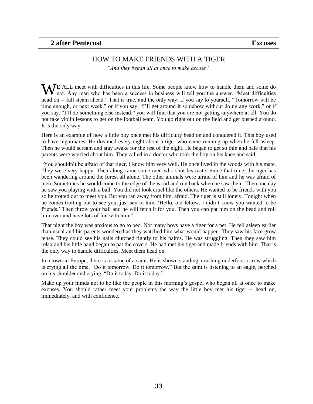#### HOW TO MAKE FRIENDS WITH A TIGER

*"And they began all at once to make excuse."*

<span id="page-32-0"></span>WE ALL meet with difficulties in this life. Some people know how to handle them and some do not. Any man who has been a success in business will tell you the answer. "Meet difficulties not. Any man who has been a success in business will tell you the answer. "Meet difficulties head on -- full steam ahead." That is true, and the only way. If you say to yourself, "Tomorrow will be time enough, or next week," or if you say, "I"ll get around it somehow without doing any work," or if you say, "I"ll do something else instead," you will find that you are not getting anywhere at all. You do not take violin lessons to get on the football team. You go right out on the field and get pushed around. It is the only way.

Here is an example of how a little boy once met his difficulty head on and conquered it. This boy used to have nightmares. He dreamed every night about a tiger who came running up when he fell asleep. Then he would scream and stay awake for the rest of the night. He began to get so thin and pale that his parents were worried about him. They called in a doctor who took the boy on his knee and said,

"You shouldn"t be afraid of that tiger. I know him very well. He once lived in the woods with his mate. They were very happy. Then along came some men who shot his mate. Since that time, the tiger has been wandering around the forest all alone. The other animals were afraid of him and he was afraid of men. Sometimes he would come to the edge of the wood and run back when he saw them. Then one day he saw you playing with a ball. You did not look cruel like the others. He wanted to be friends with you so he trotted out to meet you. But you ran away from him, afraid. The tiger is still lonely. Tonight when he comes trotting out to see you, just say to him, "Hello, old fellow. I didn"t know you wanted to be friends." Then throw your ball and he will fetch it for you. Then you can pat him on the bead and roll him over and have lots of fun with him."

That night the boy was anxious to go to bed. Not many boys have a tiger for a pet. He fell asleep earlier than usual and his parents wondered as they watched him what would happen. They saw his face grow tense. They could see his nails clutched tightly to his palms. He was struggling. Then they saw him relax and his little hand began to pat the covers. He had met his tiger and made friends with him. That is the only way to handle difficulties. Meet them head on.

In a town in Europe, there is a statue of a saint. He is shown standing, crushing underfoot a crow which is crying all the time, "Do it tomorrow. Do it tomorrow." But the saint is listening to an eagle, perched on his shoulder and crying, "Do it today. Do it today."

Make up your minds not to be like the people in this morning's gospel who began all at once to make excuses. You should rather meet your problems the way the little boy met his tiger -- head on, immediately, and with confidence.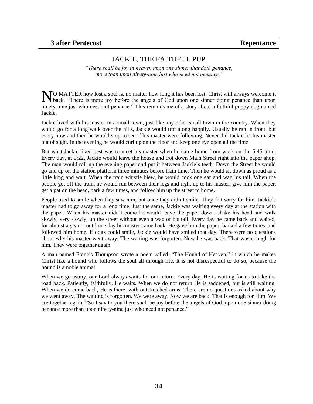#### <span id="page-33-0"></span>**3 after Pentecost Repentance**

#### JACKIE, THE FAITHFUL PUP

*"There shall be joy in heaven upon one sinner that doth penance, more than upon ninety-nine just who need not penance."*

NO MATTER how lost a soul is, no matter how long it has been lost, Christ will always welcome it back. "There is more joy before the angels of God upon one sinner doing penance than upon back. "There is more joy before the angels of God upon one sinner doing penance than upon ninety-nine just who need not penance." This reminds me of a story about a faithful puppy dog named Jackie.

Jackie lived with his master in a small town, just like any other small town in the country. When they would go for a long walk over the hills, Jackie would trot along happily. Usually he ran in front, but every now and then he would stop to see if his master were following. Never did Jackie let his master out of sight. In the evening he would curl up on the floor and keep one eye open all the time.

But what Jackie liked best was to meet his master when he came home from work on the 5:45 train. Every day, at 5:22, Jackie would leave the house and trot down Main Street right into the paper shop. The man would roll up the evening paper and put it between Jackie"s teeth. Down the Street he would go and up on the station platform three minutes before train time. Then he would sit down as proud as a little king and wait. When the train whistle blew, he would cock one ear and wag his tail. When the people got off the train, he would run between their legs and right up to his master, give him the paper, get a pat on the head, bark a few times, and follow him up the street to home.

People used to smile when they saw him, but once they didn't smile. They felt sorry for him. Jackie's master had to go away for a long time. Just the same, Jackie was waiting every day at the station with the paper. When his master didn"t come he would leave the paper down, shake his head and walk slowly, very slowly, up the street without even a wag of his tail. Every day he came back and waited, for almost a year -- until one day his master came back. He gave him the paper, barked a few times, and followed him home. If dogs could smile, Jackie would have smiled that day. There were no questions about why his master went away. The waiting was forgotten. Now he was back. That was enough for him. They were together again.

A man named Francis Thompson wrote a poem called, "The Hound of Heaven," in which he makes Christ like a hound who follows the soul all through life. It is not disrespectful to do so, because the hound is a noble animal.

When we go astray, our Lord always waits for our return. Every day, He is waiting for us to take the road back. Patiently, faithfully, He waits. When we do not return He is saddened, but is still waiting. When we do come back, He is there, with outstretched arms. There are no questions asked about why we went away. The waiting is forgotten. We were away. Now we are back. That is enough for Him. We are together again. "So I say to you there shall be joy before the angels of God, upon one sinner doing penance more than upon ninety-nine just who need not penance."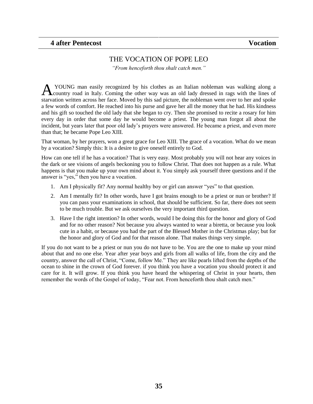# THE VOCATION OF POPE LEO

*"From henceforth thou shalt catch men."*

<span id="page-34-0"></span>YOUNG man easily recognized by his clothes as an Italian nobleman was walking along a A YOUNG man easily recognized by his clothes as an Italian nobleman was walking along a country road in Italy. Coming the other way was an old lady dressed in rags with the lines of starvation written across her face. Moved by this sad picture, the nobleman went over to her and spoke a few words of comfort. He reached into his purse and gave her all the money that he had. His kindness and his gift so touched the old lady that she began to cry. Then she promised to recite a rosary for him every day in order that some day he would become a priest. The young man forgot all about the incident, but years later that poor old lady"s prayers were answered. He became a priest, and even more than that; he became Pope Leo XIII.

That woman, by her prayers, won a great grace for Leo XIII. The grace of a vocation. What do we mean by a vocation? Simply this: It is a desire to give oneself entirely to God.

How can one tell if he has a vocation? That is very easy. Most probably you will not hear any voices in the dark or see visions of angels beckoning you to follow Christ. That does not happen as a rule. What happens is that you make up your own mind about it. You simply ask yourself three questions and if the answer is "yes," then you have a vocation.

- 1. Am I physically fit? Any normal healthy boy or girl can answer "yes" to that question.
- 2. Am I mentally fit? In other words, have I got brains enough to be a priest or nun or brother? If you can pass your examinations in school, that should be sufficient. So far, there does not seem to be much trouble. But we ask ourselves the very important third question.
- 3. Have I the right intention? In other words, would I be doing this for the honor and glory of God and for no other reason? Not because you always wanted to wear a biretta, or because you look cute in a habit, or because you had the part of the Blessed Mother in the Christmas play; but for the honor and glory of God and for that reason alone. That makes things very simple.

If you do not want to be a priest or nun you do not have to be. You are the one to make up your mind about that and no one else. Year after year boys and girls from all walks of life, from the city and the country, answer the call of Christ, "Come, follow Me." They are like pearls lifted from the depths of the ocean to shine in the crown of God forever. if you think you have a vocation you should protect it and care for it. It will grow. If you think you have heard the whispering of Christ in your hearts, then remember the words of the Gospel of today, "Fear not. From henceforth thou shalt catch men."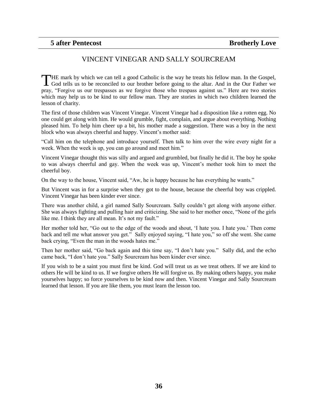#### VINCENT VINEGAR AND SALLY SOURCREAM

<span id="page-35-0"></span>HE mark by which we can tell a good Catholic is the way he treats his fellow man. In the Gospel, THE mark by which we can tell a good Catholic is the way he treats his fellow man. In the Gospel, God tells us to be reconciled to our brother before going to the altar. And in the Our Father we pray, "Forgive us our trespasses as we forgive those who trespass against us." Here are two stories which may help us to be kind to our fellow man. They are stories in which two children learned the lesson of charity.

The first of those children was Vincent Vinegar. Vincent Vinegar had a disposition like a rotten egg. No one could get along with him. He would grumble, fight, complain, and argue about everything. Nothing pleased him. To help him cheer up a bit, his mother made a suggestion. There was a boy in the next block who was always cheerful and happy. Vincent's mother said:

"Call him on the telephone and introduce yourself. Then talk to him over the wire every night for a week. When the week is up, you can go around and meet him."

Vincent Vinegar thought this was silly and argued and grumbled, but finally he did it. The boy he spoke to was always cheerful and gay. When the week was up, Vincent"s mother took him to meet the cheerful boy.

On the way to the house, Vincent said, "Aw, he is happy because he has everything he wants."

But Vincent was in for a surprise when they got to the house, because the cheerful boy was crippled. Vincent Vinegar has been kinder ever since.

There was another child, a girl named Sally Sourcream. Sally couldn"t get along with anyone either. She was always fighting and pulling hair and criticizing. She said to her mother once, "None of the girls like me. I think they are all mean. It's not my fault."

Her mother told her, "Go out to the edge of the woods and shout, "I hate you. I hate you." Then come back and tell me what answer you get." Sally enjoyed saying, "I hate you," so off she went. She came back crying, "Even the man in the woods hates me."

Then her mother said, "Go back again and this time say, "I don"t hate you." Sally did, and the echo came back, "I don"t hate you." Sally Sourcream has been kinder ever since.

If you wish to be a saint you must first be kind. God will treat us as we treat others. If we are kind to others He will be kind to us. If we forgive others He will forgive us. By making others happy, you make yourselves happy; so force yourselves to be kind now and then. Vincent Vinegar and Sally Sourcream learned that lesson. If you are like them, you must learn the lesson too.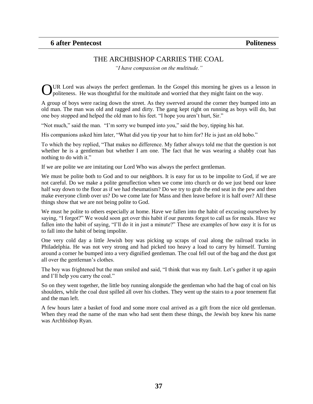#### THE ARCHBISHOP CARRIES THE COAL

*"I have compassion on the multitude."*

<span id="page-36-0"></span>UR Lord was always the perfect gentleman. In the Gospel this morning he gives us a lesson in OUR Lord was always the perfect gentleman. In the Gospel this morning he gives us a less politeness. He was thoughtful for the multitude and worried that they might faint on the way.

A group of boys were racing down the street. As they swerved around the corner they bumped into an old man. The man was old and ragged and dirty. The gang kept right on running as boys will do, but one boy stopped and helped the old man to his feet. "I hope you aren"t hurt, Sir."

"Not much," said the man. "I"m sorry we bumped into you," said the boy, tipping his hat.

His companions asked him later, "What did you tip your hat to him for? He is just an old hobo."

To which the boy replied, "That makes no difference. My father always told me that the question is not whether he is a gentleman but whether I am one. The fact that he was wearing a shabby coat has nothing to do with it."

If we are polite we are imitating our Lord Who was always the perfect gentleman.

We must be polite both to God and to our neighbors. It is easy for us to be impolite to God, if we are not careful. Do we make a polite genuflection when we come into church or do we just bend our knee half way down to the floor as if we had rheumatism? Do we try to grab the end seat in the pew and then make everyone climb over us? Do we come late for Mass and then leave before it is half over? All these things show that we are not being polite to God.

We must he polite to others especially at home. Have we fallen into the habit of excusing ourselves by saying, "I forgot?" We would soon get over this habit if our parents forgot to call us for meals. Have we fallen into the habit of saying, "I'll do it in just a minute?" These are examples of how easy it is for us to fall into the habit of being impolite.

One very cold day a little Jewish boy was picking up scraps of coal along the railroad tracks in Philadelphia. He was not very strong and had picked too heavy a load to carry by himself. Turning around a corner he bumped into a very dignified gentleman. The coal fell out of the bag and the dust got all over the gentleman"s clothes.

The boy was frightened but the man smiled and said, "I think that was my fault. Let's gather it up again and I"ll help you carry the coal."

So on they went together, the little boy running alongside the gentleman who had the bag of coal on his shoulders, while the coal dust spilled all over his clothes. They went up the stairs to a poor tenement flat and the man left.

A few hours later a basket of food and some more coal arrived as a gift from the nice old gentleman. When they read the name of the man who had sent them these things, the Jewish boy knew his name was Archbishop Ryan.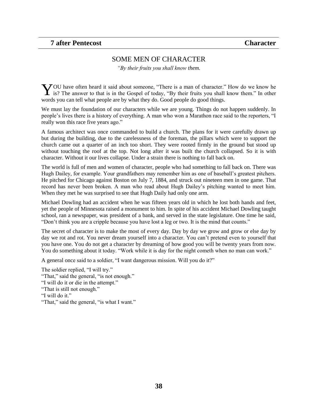#### SOME MEN OF CHARACTER

*"By their fruits you shall know them.*

<span id="page-37-0"></span>OU have often heard it said about someone, "There is a man of character." How do we know he YOU have often heard it said about someone, "There is a man of character." How do we know he is? The answer to that is in the Gospel of today, "By their fruits you shall know them." In other words you can tell what people are by what they do. Good people do good things.

We must lay the foundation of our characters while we are young. Things do not happen suddenly. In people"s lives there is a history of everything. A man who won a Marathon race said to the reporters, "I really won this race five years ago."

A famous architect was once commanded to build a church. The plans for it were carefully drawn up but during the building, due to the carelessness of the foreman, the pillars which were to support the church came out a quarter of an inch too short. They were rooted firmly in the ground but stood up without touching the roof at the top. Not long after it was built the church collapsed. So it is with character. Without it our lives collapse. Under a strain there is nothing to fall back on.

The world is full of men and women of character, people who had something to fall back on. There was Hugh Dailey, for example. Your grandfathers may remember him as one of baseball"s greatest pitchers. He pitched for Chicago against Boston on July 7, 1884, and struck out nineteen men in one game. That record has never been broken. A man who read about Hugh Dailey"s pitching wanted to meet him. When they met he was surprised to see that Hugh Daily had only one arm.

Michael Dowling had an accident when he was fifteen years old in which he lost both hands and feet, yet the people of Minnesota raised a monument to him. In spite of his accident Michael Dowling taught school, ran a newspaper, was president of a bank, and served in the state legislature. One time he said, "Don"t think you are a cripple because you have lost a leg or two. It is the mind that counts."

The secret of character is to make the most of every day. Day by day we grow and grow or else day by day we rot and rot. You never dream yourself into a character. You can"t pretend even to yourself that you have one. You do not get a character by dreaming of how good you will be twenty years from now. You do something about it today. "Work while it is day for the night cometh when no man can work."

A general once said to a soldier, "I want dangerous mission. Will you do it?"

The soldier replied, "I will try." "That," said the general, "is not enough." "I will do it or die in the attempt." "That is still not enough." "I will do it." "That," said the general, "is what I want."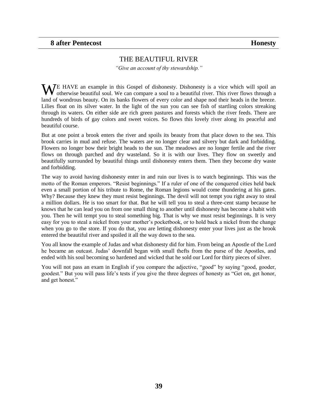#### THE BEAUTIFUL RIVER

*"Give an account of thy stewardship."*

<span id="page-38-0"></span>WE HAVE an example in this Gospel of dishonesty. Dishonesty is a vice which will spoil an otherwise beautiful soul. We can compare a soul to a beautiful river. This river flows through a otherwise beautiful soul. We can compare a soul to a beautiful river. This river flows through a land of wondrous beauty. On its banks flowers of every color and shape nod their heads in the breeze. Lilies float on its silver water. In the light of the sun you can see fish of startling colors streaking through its waters. On either side are rich green pastures and forests which the river feeds. There are hundreds of birds of gay colors and sweet voices. So flows this lovely river along its peaceful and beautiful course.

But at one point a brook enters the river and spoils its beauty from that place down to the sea. This brook carries in mud and refuse. The waters are no longer clear and silvery but dark and forbidding. Flowers no longer bow their bright heads to the sun. The meadows are no longer fertile and the river flows on through parched and dry wasteland. So it is with our lives. They flow on sweetly and beautifully surrounded by beautiful things until dishonesty enters them. Then they become dry waste and forbidding.

The way to avoid having dishonesty enter in and ruin our lives is to watch beginnings. This was the motto of the Roman emperors. "Resist beginnings." If a ruler of one of the conquered cities held back even a small portion of his tribute to Rome, the Roman legions would come thundering at his gates. Why? Because they knew they must resist beginnings. The devil will not tempt you right away to steal a million dollars. He is too smart for that. But he will tell you to steal a three-cent stamp because he knows that he can lead you on from one small thing to another until dishonesty has become a habit with you. Then he will tempt you to steal something big. That is why we must resist beginnings. It is very easy for you to steal a nickel from your mother"s pocketbook, or to hold back a nickel from the change when you go to the store. If you do that, you are letting dishonesty enter your lives just as the brook entered the beautiful river and spoiled it all the way down to the sea.

You all know the example of Judas and what dishonesty did for him. From being an Apostle of the Lord he became an outcast. Judas" downfall began with small thefts from the purse of the Apostles, and ended with his soul becoming so hardened and wicked that he sold our Lord for thirty pieces of silver.

You will not pass an exam in English if you compare the adjective, "good" by saying "good, gooder, goodest." But you will pass life"s tests if you give the three degrees of honesty as "Get on, get honor, and get honest."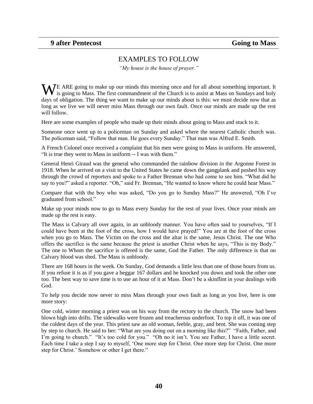#### EXAMPLES TO FOLLOW

*"My house is the house of prayer."*

<span id="page-39-0"></span>WE ARE going to make up our minds this morning once and for all about something important. It is going to Mass. The first commandment of the Church is to assist at Mass on Sundays and holy is going to Mass. The first commandment of the Church is to assist at Mass on Sundays and holy days of obligation. The thing we want to make up our minds about is this: we must decide now that as long as we live we will never miss Mass through our own fault. Once our minds are made up the rest will follow.

Here are some examples of people who made up their minds about going to Mass and stuck to it.

Someone once went up to a policeman on Sunday and asked where the nearest Catholic church was. The policeman said, "Follow that man. He goes every Sunday." That man was Alfred E. Smith.

A French Colonel once received a complaint that his men were going to Mass in uniform. He answered, "It is true they went to Mass in uniform -- I was with them."

General Henri Giraud was the general who commanded the rainbow division in the Argonne Forest in 1918. When he arrived on a visit to the United States he came down the gangplank and pushed his way through the crowd of reporters and spoke to a Father Brennan who had come to see him. "What did he say to you?" asked a reporter. "Oh," said Fr. Brennan, "He wanted to know where he could hear Mass."

Compare that with the boy who was asked, "Do you go to Sunday Mass?" He answered, "Oh I"ve graduated from school."

Make up your minds now to go to Mass every Sunday for the rest of your lives. Once your minds are made up the rest is easy.

The Mass is Calvary all over again, in an unbloody manner. You have often said to yourselves, "If I could have been at the foot of the cross, how I would have prayed!" You are at the foot of the cross when you go to Mass. The Victim on the cross and the altar is the same, Jesus Christ. The one Who offers the sacrifice is the same because the priest is another Christ when he says, "This is my Body." The one to Whom the sacrifice is offered is the same, God the Father. The only difference is that on Calvary blood was shed. The Mass is unbloody.

There are 168 hours in the week. On Sunday, God demands a little less than one of those hours from us. If you refuse it is as if you gave a beggar 167 dollars and he knocked you down and took the other one too. The best way to save time is to use an hour of it at Mass. Don"t be a skinflint in your dealings with God.

To help you decide now never to miss Mass through your own fault as long as you live, here is one more story:

One cold, winter morning a priest was on his way from the rectory to the church. The snow had been blown high into drifts. The sidewalks were frozen and treacherous underfoot. To top it off, it was one of the coldest days of the year. This priest saw an old woman, feeble, gray, and bent. She was coming step by step to church. He said to her: "What are you doing out on a morning like this?" "Faith, Father, and I'm going to church." "It's too cold for you." "Oh no it isn't. You see Father, I have a little secret. Each time I take a step I say to myself, "One more step for Christ. One more step for Christ. One more step for Christ.' Somehow or other I get there."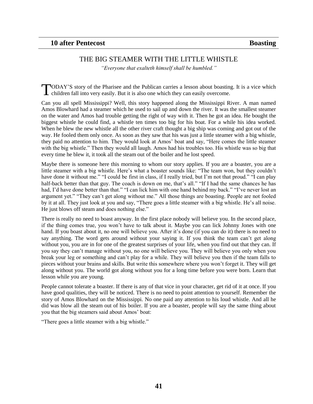#### THE BIG STEAMER WITH THE LITTLE WHISTLE

*"Everyone that exalteth himself shall be humbled."*

<span id="page-40-0"></span>ODAY"S story of the Pharisee and the Publican carries a lesson about boasting. It is a vice which TODAY'S story of the Pharisee and the Publican carries a lesson about boastin children fall into very easily. But it is also one which they can easily overcome.

Can you all spell Mississippi? Well, this story happened along the Mississippi River. A man named Amos Blowhard had a steamer which he used to sail up and down the river. It was the smallest steamer on the water and Amos had trouble getting the right of way with it. Then he got an idea. He bought the biggest whistle he could find, a whistle ten times too big for his boat. For a while his idea worked. When he blew the new whistle all the other river craft thought a big ship was coming and got out of the way. He fooled them only once. As soon as they saw that his was just a little steamer with a big whistle, they paid no attention to him. They would look at Amos" boat and say, "Here comes the little steamer with the big whistle." Then they would all laugh. Amos had his troubles too. His whistle was so big that every time he blew it, it took all the steam out of the boiler and he lost speed.

Maybe there is someone here this morning to whom our story applies. If you are a boaster, you are a little steamer with a big whistle. Here's what a boaster sounds like: "The team won, but they couldn't have done it without me." "I could be first in class, if I really tried, but I'm not that proud." "I can play half-back better than that guy. The coach is down on me, that's all." "If I had the same chances he has had, I'd have done better than that." "I can lick him with one hand behind my back." "I've never lost an argument yet." "They can"t get along without me." All those things are boasting. People are not fooled by it at all. They just look at you and say, "There goes a little steamer with a big whistle. He"s all noise. He just blows off steam and does nothing else."

There is really no need to boast anyway. In the first place nobody will believe you. In the second place, if the thing comes true, you won"t have to talk about it. Maybe you can lick Johnny Jones with one hand. If you boast about it, no one will believe you. After it's done (if you can do it) there is no need to say anything. The word gets around without your saying it. If you think the team can't get along without you, you are in for one of the greatest surprises of your life, when you find out that they can. If you say they can"t manage without you, no one will believe you. They will believe you only when you break your leg or something and can"t play for a while. They will believe you then if the team falls to pieces without your brains and skills. But write this somewhere where you won"t forget it. They will get along without you. The world got along without you for a long time before you were born. Learn that lesson while you are young.

People cannot tolerate a boaster. If there is any of that vice in your character, get rid of it at once. If you have good qualities, they will be noticed. There is no need to point attention to yourself. Remember the story of Amos Blowhard on the Mississippi. No one paid any attention to his loud whistle. And all he did was blow all the steam out of his boiler. If you are a boaster, people will say the same thing about you that the big steamers said about Amos" boat:

"There goes a little steamer with a big whistle."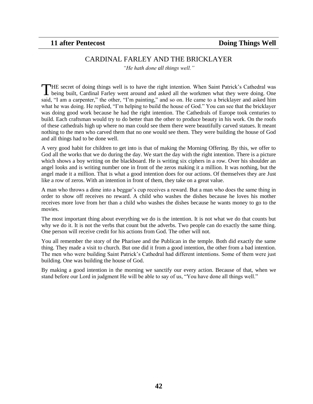#### CARDINAL FARLEY AND THE BRICKLAYER

*"He hath done all things well."*

<span id="page-41-0"></span>THE secret of doing things well is to have the right intention. When Saint Patrick's Cathedral was THE secret of doing things well is to have the right intention. When Saint Patrick's Cathedral was being built, Cardinal Farley went around and asked all the workmen what they were doing. One said, "I am a carpenter," the other, "I"m painting," and so on. He came to a bricklayer and asked him what he was doing. He replied, "I"m helping to build the house of God." You can see that the bricklayer was doing good work because he had the right intention. The Cathedrals of Europe took centuries to build. Each craftsman would try to do better than the other to produce beauty in his work. On the roofs of these cathedrals high up where no man could see them there were beautifully carved statues. It meant nothing to the men who carved them that no one would see them. They were building the house of God and all things had to be done well.

A very good habit for children to get into is that of making the Morning Offering. By this, we offer to God all the works that we do during the day. We start the day with the right intention. There is a picture which shows a boy writing on the blackboard. He is writing six ciphers in a row. Over his shoulder an angel looks and is writing number one in front of the zeros making it a million. It was nothing, but the angel made it a million. That is what a good intention does for our actions. Of themselves they are Just like a row of zeros. With an intention in front of them, they take on a great value.

A man who throws a dime into a beggar"s cup receives a reward. But a man who does the same thing in order to show off receives no reward. A child who washes the dishes because he loves his mother receives more love from her than a child who washes the dishes because he wants money to go to the movies.

The most important thing about everything we do is the intention. It is not what we do that counts but why we do it. It is not the verbs that count but the adverbs. Two people can do exactly the same thing. One person will receive credit for his actions from God. The other will not.

You all remember the story of the Pharisee and the Publican in the temple. Both did exactly the same thing. They made a visit to church. But one did it from a good intention, the other from a bad intention. The men who were building Saint Patrick"s Cathedral had different intentions. Some of them were just building. One was building the house of God.

By making a good intention in the morning we sanctify our every action. Because of that, when we stand before our Lord in judgment He will be able to say of us, "You have done all things well."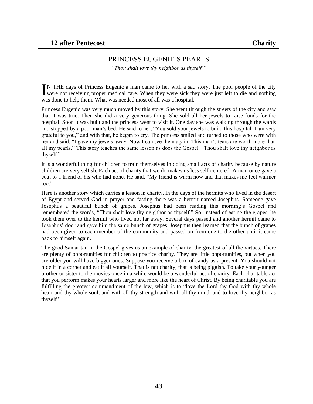#### PRINCESS EUGENIE"S PEARLS

*"Thou shalt love thy neighbor as thyself."*

<span id="page-42-0"></span>N THE days of Princess Eugenic a man came to her with a sad story. The poor people of the city IN THE days of Princess Eugenic a man came to her with a sad story. The poor people of the city were not receiving proper medical care. When they were sick they were just left to die and nothing was done to help them. What was needed most of all was a hospital.

Princess Eugenic was very much moved by this story. She went through the streets of the city and saw that it was true. Then she did a very generous thing. She sold all her jewels to raise funds for the hospital. Soon it was built and the princess went to visit it. One day she was walking through the wards and stopped by a poor man"s bed. He said to her, "You sold your jewels to build this hospital. I am very grateful to you," and with that, he began to cry. The princess smiled and turned to those who were with her and said, "I gave my jewels away. Now I can see them again. This man's tears are worth more than all my pearls." This story teaches the same lesson as does the Gospel. "Thou shalt love thy neighbor as thyself."

It is a wonderful thing for children to train themselves in doing small acts of charity because by nature children are very selfish. Each act of charity that we do makes us less self-centered. A man once gave a coat to a friend of his who had none. He said, "My friend is warm now and that makes me feel warmer too."

Here is another story which carries a lesson in charity. In the days of the hermits who lived in the desert of Egypt and served God in prayer and fasting there was a hermit named Josephus. Someone gave Josephus a beautiful bunch of grapes. Josephus had been reading this morning"s Gospel and remembered the words, "Thou shalt love thy neighbor as thyself." So, instead of eating the grapes, he took them over to the hermit who lived not far away. Several days passed and another hermit came to Josephus" door and gave him the same bunch of grapes. Josephus then learned that the bunch of grapes had been given to each member of the community and passed on from one to the other until it came back to himself again.

The good Samaritan in the Gospel gives us an example of charity, the greatest of all the virtues. There are plenty of opportunities for children to practice charity. They are little opportunities, but when you are older you will have bigger ones. Suppose you receive a box of candy as a present. You should not hide it in a corner and eat it all yourself. That is not charity, that is being piggish. To take your younger brother or sister to the movies once in a while would be a wonderful act of charity. Each charitable act that you perform makes your hearts larger and more like the heart of Christ. By being charitable you are fulfilling the greatest commandment of the law, which is to "love the Lord thy God with thy whole heart and thy whole soul, and with all thy strength and with all thy mind, and to love thy neighbor as thyself."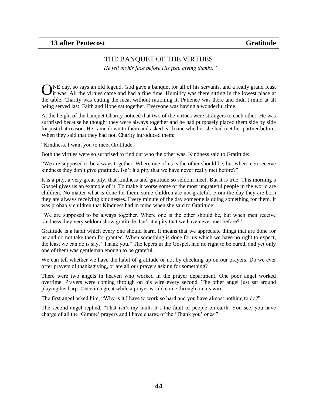# THE BANQUET OF THE VIRTUES

*"He fell on his face before His feet, giving thanks."*

<span id="page-43-0"></span>NE day, so says an old legend, God gave a banquet for all of his servants, and a really grand feast ONE day, so says an old legend, God gave a banquet for all of his servants, and a really grand feast it was. All the virtues came and had a fine time. Humility was there sitting in the lowest place at the table. Charity was cutting the meat without rationing it. Patience was there and didn"t mind at all being served last. Faith and Hope sat together. Everyone was having a wonderful time.

At the height of the banquet Charity noticed that two of the virtues were strangers to each other. He was surprised because he thought they were always together and he had purposely placed them side by side for just that reason. He came down to them and asked each one whether she had met her partner before. When they said that they had not, Charity introduced them:

"Kindness, I want you to meet Gratitude."

Both the virtues were so surprised to find out who the other was. Kindness said to Gratitude:

"We are supposed to be always together. Where one of us is the other should be, but when men receive kindness they don't give gratitude. Isn't it a pity that we have never really met before?"

It is a pity, a very great pity, that kindness and gratitude so seldom meet. But it is true. This morning"s Gospel gives us an example of it. To make it worse some of the most ungrateful people in the world are children. No matter what is done for them, some children are not grateful. From the day they are born they are always receiving kindnesses. Every minute of the day someone is doing something for them. It was probably children that Kindness had in mind when she said to Gratitude:

"We are supposed to be always together. Where one is the other should be, but when men receive kindness they very seldom show gratitude. Isn"t it a pity that we have never met before?"

Gratitude is a habit which every one should learn. It means that we appreciate things that are done for us and do not take them for granted. When something is done for us which we have no right to expect, the least we can do is say, "Thank you." The lepers in the Gospel, had no right to be cured, and yet only one of them was gentleman enough to be grateful.

We can tell whether we have the habit of gratitude or not by checking up on our prayers. Do we ever offer prayers of thanksgiving, or are all our prayers asking for something?

There were two angels in heaven who worked in the prayer department. One poor angel worked overtime. Prayers were coming through on his wire every second. The other angel just sat around playing his harp. Once in a great while a prayer would come through on his wire.

The first angel asked him, "Why is it I have to work so hard and you have almost nothing to do?"

The second angel replied, "That isn't my fault. It's the fault of people on earth. You see, you have charge of all the 'Gimme' prayers and I have charge of the 'Thank you' ones."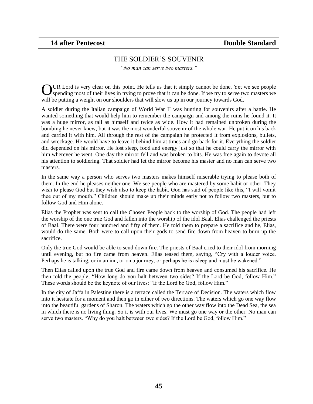#### THE SOLDIER"S SOUVENIR

*"No man can serve two masters."*

<span id="page-44-0"></span>UR Lord is very clear on this point. He tells us that it simply cannot be done. Yet we see people OUR Lord is very clear on this point. He tells us that it simply cannot be done. Yet we see people spending most of their lives in trying to prove that it can be done. If we try to serve two masters we will be putting a weight on our shoulders that will slow us up in our journey towards God.

A soldier during the Italian campaign of World War II was hunting for souvenirs after a battle. He wanted something that would help him to remember the campaign and among the ruins he found it. It was a huge mirror, as tall as himself and twice as wide. How it had remained unbroken during the bombing he never knew, but it was the most wonderful souvenir of the whole war. He put it on his back and carried it with him. All through the rest of the campaign he protected it from explosions, bullets, and wreckage. He would have to leave it behind him at times and go back for it. Everything the soldier did depended on his mirror. He lost sleep, food and energy just so that he could carry the mirror with him wherever he went. One day the mirror fell and was broken to bits. He was free again to devote all his attention to soldiering. That soldier had let the mirror become his master and no man can serve two masters.

In the same way a person who serves two masters makes himself miserable trying to please both of them. In the end he pleases neither one. We see people who are mastered by some habit or other. They wish to please God but they wish also to keep the habit. God has said of people like this, "I will vomit thee out of my mouth." Children should make up their minds early not to follow two masters, but to follow God and Him alone.

Elias the Prophet was sent to call the Chosen People back to the worship of God. The people had left the worship of the one true God and fallen into the worship of the idol Baal. Elias challenged the priests of Baal. There were four hundred and fifty of them. He told them to prepare a sacrifice and he, Elias, would do the same. Both were to call upon their gods to send fire down from heaven to burn up the sacrifice.

Only the true God would be able to send down fire. The priests of Baal cried to their idol from morning until evening, but no fire came from heaven. Elias teased them, saying, "Cry with a louder voice. Perhaps he is talking, or in an inn, or on a journey, or perhaps he is asleep and must be wakened."

Then Elias called upon the true God and fire came down from heaven and consumed his sacrifice. He then told the people, "How long do you halt between two sides? If the Lord be God, follow Him." These words should be the keynote of our lives: "If the Lord be God, follow Him."

In the city of Jaffa in Palestine there is a terrace called the Terrace of Decision. The waters which flow into it hesitate for a moment and then go in either of two directions. The waters which go one way flow into the beautiful gardens of Sharon. The waters which go the other way flow into the Dead Sea, the sea in which there is no living thing. So it is with our lives. We must go one way or the other. No man can serve two masters. "Why do you halt between two sides? If the Lord be God, follow Him."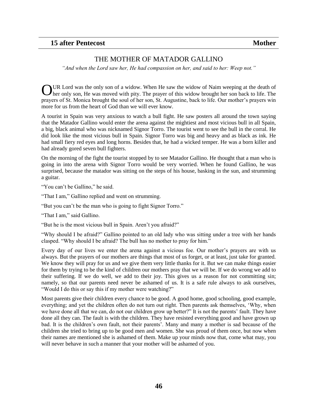#### THE MOTHER OF MATADOR GALLINO

<span id="page-45-0"></span>*"And when the Lord saw her, He had compassion on her, and said to her: Weep not."*

UR Lord was the only son of a widow. When He saw the widow of Naim weeping at the death of OUR Lord was the only son of a widow. When He saw the widow of Naim weeping at the death of ther only son, He was moved with pity. The prayer of this widow brought her son back to life. The prayers of St. Monica brought the soul of her son, St. Augustine, back to life. Our mother"s prayers win more for us from the heart of God than we will ever know.

A tourist in Spain was very anxious to watch a bull fight. He saw posters all around the town saying that the Matador Gallino would enter the arena against the mightiest and most vicious bull in all Spain, a big, black animal who was nicknamed Signor Torro. The tourist went to see the bull in the corral. He did look like the most vicious bull in Spain. Signor Torro was big and heavy and as black as ink. He had small fiery red eyes and long horns. Besides that, he had a wicked temper. He was a born killer and had already gored seven bull fighters.

On the morning of the fight the tourist stopped by to see Matador Gallino. He thought that a man who is going in into the arena with Signor Torro would be very worried. When he found Gallino, he was surprised, because the matador was sitting on the steps of his house, basking in the sun, and strumming a guitar.

"You can't be Gallino," he said.

"That I am," Gallino replied and went on strumming.

"But you can"t be the man who is going to fight Signor Torro."

"That I am," said Gallino.

"But he is the most vicious bull in Spain. Aren"t you afraid?"

"Why should I be afraid?" Gallino pointed to an old lady who was sitting under a tree with her hands clasped. "Why should I be afraid? The bull has no mother to pray for him."

Every day of our lives we enter the arena against a vicious foe. Our mother"s prayers are with us always. But the prayers of our mothers are things that most of us forget, or at least, just take for granted. We know they will pray for us and we give them very little thanks for it. But we can make things easier for them by trying to be the kind of children our mothers pray that we will be. If we do wrong we add to their suffering. If we do well, we add to their joy. This gives us a reason for not committing sin; namely, so that our parents need never be ashamed of us. It is a safe rule always to ask ourselves, "Would I do this or say this if my mother were watching?"

Most parents give their children every chance to be good. A good home, good schooling, good example, everything; and yet the children often do not turn out right. Then parents ask themselves, "Why, when we have done all that we can, do not our children grow up better?" It is not the parents' fault. They have done all they can. The fault is with the children. They have resisted everything good and have grown up bad. It is the children"s own fault, not their parents". Many and many a mother is sad because of the children she tried to bring up to be good men and women. She was proud of them once, but now when their names are mentioned she is ashamed of them. Make up your minds now that, come what may, you will never behave in such a manner that your mother will be ashamed of you.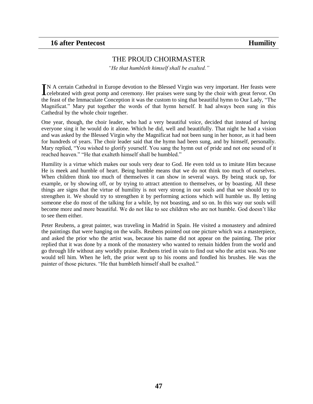#### <span id="page-46-0"></span>**16 after Pentecost Humility**

#### THE PROUD CHOIRMASTER

*"He that humbleth himself shall be exalted."*

N A certain Cathedral in Europe devotion to the Blessed Virgin was very important. Her feasts were IN A certain Cathedral in Europe devotion to the Blessed Virgin was very important. Her feasts were celebrated with great pomp and ceremony. Her praises were sung by the choir with great fervor. On the feast of the Immaculate Conception it was the custom to sing that beautiful hymn to Our Lady, "The Magnificat." Mary put together the words of that hymn herself. It had always been sung in this Cathedral by the whole choir together.

One year, though, the choir leader, who had a very beautiful voice, decided that instead of having everyone sing it he would do it alone. Which he did, well and beautifully. That night he had a vision and was asked by the Blessed Virgin why the Magnificat had not been sung in her honor, as it had been for hundreds of years. The choir leader said that the hymn had been sung, and by himself, personally. Mary replied, "You wished to glorify yourself. You sang the hymn out of pride and not one sound of it reached heaven." "He that exalteth himself shall be humbled."

Humility is a virtue which makes our souls very dear to God. He even told us to imitate Him because He is meek and humble of heart. Being humble means that we do not think too much of ourselves. When children think too much of themselves it can show in several ways. By being stuck up, for example, or by showing off, or by trying to attract attention to themselves, or by boasting. All these things are signs that the virtue of humility is not very strong in our souls and that we should try to strengthen it. We should try to strengthen it by performing actions which will humble us. By letting someone else do most of the talking for a while, by not boasting, and so on. In this way our souls will become more and more beautiful. We do not like to see children who are not humble. God doesn"t like to see them either.

Peter Reubens, a great painter, was traveling in Madrid in Spain. He visited a monastery and admired the paintings that were hanging on the walls. Reubens pointed out one picture which was a masterpiece, and asked the prior who the artist was, because his name did not appear on the painting. The prior replied that it was done by a monk of the monastery who wanted to remain hidden from the world and go through life without any worldly praise. Reubens tried in vain to find out who the artist was. No one would tell him. When he left, the prior went up to his rooms and fondled his brushes. He was the painter of those pictures. "He that humbleth himself shall be exalted."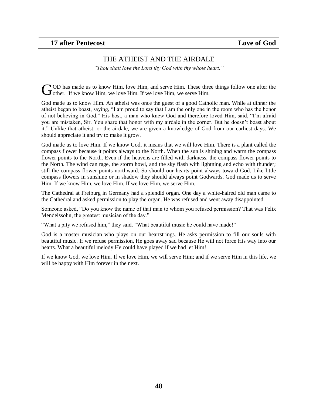# THE ATHEIST AND THE AIRDALE

*"Thou shalt love the Lord thy God with thy whole heart."*

<span id="page-47-0"></span>OD has made us to know Him, love Him, and serve Him. These three things follow one after the **C**OD has made us to know Him, love Him, and serve Him. These three of other. If we know Him, we love Him. If we love Him, we serve Him.

God made us to know Him. An atheist was once the guest of a good Catholic man. While at dinner the atheist began to boast, saying, "I am proud to say that I am the only one in the room who has the honor of not believing in God." His host, a man who knew God and therefore loved Him, said, "I"m afraid you are mistaken, Sir. You share that honor with my airdale in the corner. But he doesn"t boast about it." Unlike that atheist, or the airdale, we are given a knowledge of God from our earliest days. We should appreciate it and try to make it grow.

God made us to love Him. If we know God, it means that we will love Him. There is a plant called the compass flower because it points always to the North. When the sun is shining and warm the compass flower points to the North. Even if the heavens are filled with darkness, the compass flower points to the North. The wind can rage, the storm howl, and the sky flash with lightning and echo with thunder; still the compass flower points northward. So should our hearts point always toward God. Like little compass flowers in sunshine or in shadow they should always point Godwards. God made us to serve Him. If we know Him, we love Him. If we love Him, we serve Him.

The Cathedral at Freiburg in Germany had a splendid organ. One day a white-haired old man came to the Cathedral and asked permission to play the organ. He was refused and went away disappointed.

Someone asked, "Do you know the name of that man to whom you refused permission? That was Felix Mendelssohn, the greatest musician of the day."

"What a pity we refused him," they said. "What beautiful music he could have made!"

God is a master musician who plays on our heartstrings. He asks permission to fill our souls with beautiful music. If we refuse permission, He goes away sad because He will not force His way into our hearts. What a beautiful melody He could have played if we had let Him!

If we know God, we love Him. If we love Him, we will serve Him; and if we serve Him in this life, we will be happy with Him forever in the next.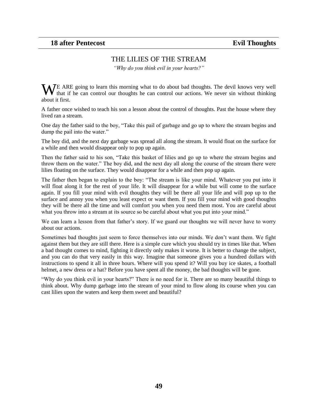# THE LILIES OF THE STREAM

*"Why do you think evil in your hearts?"*

<span id="page-48-0"></span>WE ARE going to learn this morning what to do about bad thoughts. The devil knows very well that if he can control our thoughts he can control our actions. We never sin without thinking that if he can control our thoughts he can control our actions. We never sin without thinking about it first.

A father once wished to teach his son a lesson about the control of thoughts. Past the house where they lived ran a stream.

One day the father said to the boy, "Take this pail of garbage and go up to where the stream begins and dump the pail into the water."

The boy did, and the next day garbage was spread all along the stream. It would float on the surface for a while and then would disappear only to pop up again.

Then the father said to his son, "Take this basket of lilies and go up to where the stream begins and throw them on the water." The boy did, and the next day all along the course of the stream there were lilies floating on the surface. They would disappear for a while and then pop up again.

The father then began to explain to the boy: "The stream is like your mind. Whatever you put into it will float along it for the rest of your life. It will disappear for a while but will come to the surface again. If you fill your mind with evil thoughts they will be there all your life and will pop up to the surface and annoy you when you least expect or want them. If you fill your mind with good thoughts they will be there all the time and will comfort you when you need them most. You are careful about what you throw into a stream at its source so be careful about what you put into your mind."

We can learn a lesson from that father's story. If we guard our thoughts we will never have to worry about our actions.

Sometimes bad thoughts just seem to force themselves into our minds. We don"t want them. We fight against them but they are still there. Here is a simple cure which you should try in times like that. When a bad thought comes to mind, fighting it directly only makes it worse. It is better to change the subject, and you can do that very easily in this way. Imagine that someone gives you a hundred dollars with instructions to spend it all in three hours. Where will you spend it? Will you buy ice skates, a football helmet, a new dress or a hat? Before you have spent all the money, the bad thoughts will be gone.

"Why do you think evil in your hearts?" There is no need for it. There are so many beautiful things to think about. Why dump garbage into the stream of your mind to flow along its course when you can cast lilies upon the waters and keep them sweet and beautiful?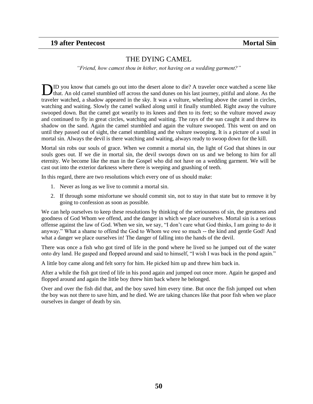### <span id="page-49-0"></span>**19 after Pentecost Mortal Sin**

#### THE DYING CAMEL

*"Friend, how camest thou in hither, not having on a wedding garment?"*

ID you know that camels go out into the desert alone to die? A traveler once watched a scene like **ID** you know that camels go out into the desert alone to die? A traveler once watched a scene like that. An old camel stumbled off across the sand dunes on his last journey, pitiful and alone. As the traveler watched, a shadow appeared in the sky. It was a vulture, wheeling above the camel in circles, watching and waiting. Slowly the camel walked along until it finally stumbled. Right away the vulture swooped down. But the camel got wearily to its knees and then to its feet; so the vulture moved away and continued to fly in great circles, watching and waiting. The rays of the sun caught it and threw its shadow on the sand. Again the camel stumbled and again the vulture swooped. This went on and on until they passed out of sight, the camel stumbling and the vulture swooping. It is a picture of a soul in mortal sin. Always the devil is there watching and waiting, always ready to swoop down for the kill.

Mortal sin robs our souls of grace. When we commit a mortal sin, the light of God that shines in our souls goes out. If we die in mortal sin, the devil swoops down on us and we belong to him for all eternity. We become like the man in the Gospel who did not have on a wedding garment. We will be cast out into the exterior darkness where there is weeping and gnashing of teeth.

In this regard, there are two resolutions which every one of us should make:

- 1. Never as long as we live to commit a mortal sin.
- 2. If through some misfortune we should commit sin, not to stay in that state but to remove it by going to confession as soon as possible.

We can help ourselves to keep these resolutions by thinking of the seriousness of sin, the greatness and goodness of God Whom we offend, and the danger in which we place ourselves. Mortal sin is a serious offense against the law of God. When we sin, we say, "I don"t care what God thinks, I am going to do it anyway." What a shame to offend the God to Whom we owe so much -- the kind and gentle God! And what a danger we place ourselves in! The danger of falling into the hands of the devil.

There was once a fish who got tired of life in the pond where he lived so he jumped out of the water onto dry land. He gasped and flopped around and said to himself, "I wish I was back in the pond again."

A little boy came along and felt sorry for him. He picked him up and threw him back in.

After a while the fish got tired of life in his pond again and jumped out once more. Again he gasped and flopped around and again the little boy threw him back where he belonged.

Over and over the fish did that, and the boy saved him every time. But once the fish jumped out when the boy was not there to save him, and he died. We are taking chances like that poor fish when we place ourselves in danger of death by sin.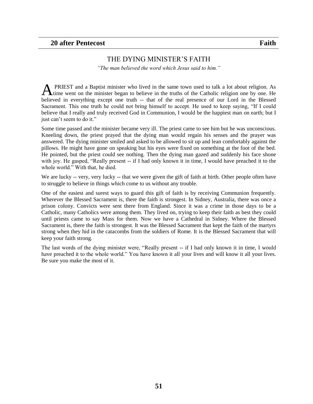### THE DYING MINISTER"S FAITH

*"The man believed the word which Jesus said to him."*

<span id="page-50-0"></span>PRIEST and a Baptist minister who lived in the same town used to talk a lot about religion. As **A** PRIEST and a Baptist minister who lived in the same town used to talk a lot about religion. As time went on the minister began to believe in the truths of the Catholic religion one by one. He believed in everything except one truth -- that of the real presence of our Lord in the Blessed Sacrament. This one truth he could not bring himself to accept. He used to keep saying, "If I could believe that I really and truly received God in Communion, I would be the happiest man on earth; but I just can't seem to do it."

Some time passed and the minister became very ill. The priest came to see him but he was unconscious. Kneeling down, the priest prayed that the dying man would regain his senses and the prayer was answered. The dying minister smiled and asked to be allowed to sit up and lean comfortably against the pillows. He might have gone on speaking but his eyes were fixed on something at the foot of the bed. He pointed, but the priest could see nothing. Then the dying man gazed and suddenly his face shone with joy. He gasped, "Really present -- if I had only known it in time, I would have preached it to the whole world." With that, he died.

We are lucky -- very, very lucky -- that we were given the gift of faith at birth. Other people often have to struggle to believe in things which come to us without any trouble.

One of the easiest and surest ways to guard this gift of faith is by receiving Communion frequently. Wherever the Blessed Sacrament is, there the faith is strongest. In Sidney, Australia, there was once a prison colony. Convicts were sent there from England. Since it was a crime in those days to be a Catholic, many Catholics were among them. They lived on, trying to keep their faith as best they could until priests came to say Mass for them. Now we have a Cathedral in Sidney. Where the Blessed Sacrament is, there the faith is strongest. It was the Blessed Sacrament that kept the faith of the martyrs strong when they hid in the catacombs from the soldiers of Rome. It is the Blessed Sacrament that will keep your faith strong.

The last words of the dying minister were, "Really present -- if I had only known it in time, I would have preached it to the whole world." You have known it all your lives and will know it all your lives. Be sure you make the most of it.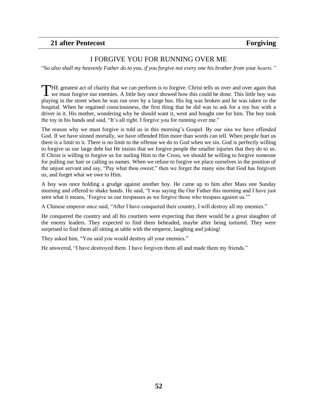### <span id="page-51-0"></span>**21 after Pentecost Forgiving**

#### I FORGIVE YOU FOR RUNNING OVER ME

"So *also shall my heavenly Father do to you, if you forgive not every one his brother from* your *hearts."*

HE greatest act of charity that we can perform is to forgive. Christ tells us over and over again that THE greatest act of charity that we can perform is to forgive. Christ tells us over and over again that we must forgive our enemies. A little boy once showed how this could be done. This little boy was playing in the street when he was run over by a large bus. His leg was broken and he was taken to the hospital. When he regained consciousness, the first thing that he did was to ask for a toy bus with a driver in it. His mother, wondering why he should want it, went and bought one for him. The boy took the toy in his hands and said, "It's all right. I forgive you for running over me."

The reason why we must forgive is told us in this morning"s Gospel. By our sins we have offended God. If we have sinned mortally, we have offended Him more than words can tell. When people hurt us there is a limit to it. There is no limit to the offense we do to God when we sin. God is perfectly willing to forgive us our large debt but He insists that we forgive people the smaller injuries that they do to us. If Christ is willing to forgive us for nailing Him to the Cross, we should be willing to forgive someone for pulling our hair or calling us names. When we refuse to forgive we place ourselves in the position of the unjust servant and say, "Pay what thou owest;" then we forget the many sins that God has forgiven us, and forget what we owe to Him.

A boy was once holding a grudge against another boy. He came up to him after Mass one Sunday morning and offered to shake hands. He said, "I was saying the Our Father this morning and I have just seen what it means, "Forgive us our trespasses as we forgive those who trespass against us.""

A Chinese emperor once said, "After I have conquered their country, I will destroy all my enemies."

He conquered the country and all his courtiers were expecting that there would be a great slaughter of the enemy leaders. They expected to find them beheaded, maybe after being tortured. They were surprised to find them all sitting at table with the emperor, laughing and joking!

They asked him, "You said you would destroy all your enemies."

He answered, "I have destroyed them. I have forgiven them all and made them my friends."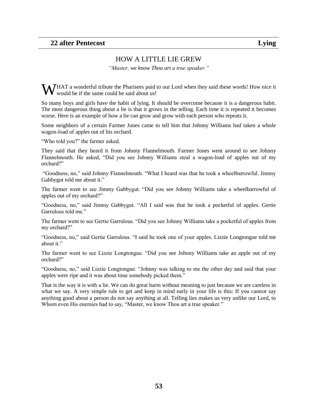#### HOW A LITTLE LIE GREW

*"Master, we know Thou art a true speaker."*

<span id="page-52-0"></span>WHAT a wonderful tribute the Pharisees paid to our Lord when they said these words! How nice it would be if the same could be said about us! would be if the same could be said about us!

So many boys and girls have the habit of lying. It should be overcome because it is a dangerous habit. The most dangerous thing about a lie is that it grows in the telling. Each time it is repeated it becomes worse. Here is an example of how a lie can grow and grow with each person who repeats it.

Some neighbors of a certain Farmer Jones came to tell him that Johnny Williams had taken a whole wagon-load of apples out of his orchard.

"Who told you?" the farmer asked.

They said that they heard it from Johnny Flannelmouth. Farmer Jones went around to see Johnny Flannelmouth. He asked, "Did you see Johnny Williams steal a wagon-load of apples out of my orchard?"

"Goodness, no," said Johnny Flannelmouth. "What I heard was that he took a wheelbarrowful. Jimmy Gabbygut told me about it."

The farmer went to see Jimmy Gabbygut. "Did you see Johnny Williams take a wheelbarrowful of apples out of my orchard?"

"Goodness, no," said Jimmy Gabbygut. "All I said was that he took a pocketful of apples. Gertie Garrulous told me."

The farmer went to see Gertie Garrulous. "Did you see Johnny Williams take a pocketful of apples from my orchard?"

"Goodness, no," said Gertie Garrulous. "I said he took one of your apples. Lizzie Longtongue told me about it."

The farmer went to see Lizzie Longtongue. "Did you see Johnny Williams take an apple out of my orchard?"

"Goodness, no," said Lizzie Longtongue. "Johnny was talking to me the other day and said that your apples were ripe and it was about time somebody picked them."

That is the way it is with a lie. We can do great harm without meaning to just because we are careless in what we say. A very simple rule to get and keep in mind early in your life is this: If you cannot say anything good about a person do not say anything at all. Telling lies makes us very unlike our Lord, to Whom even His enemies had to say, "Master, we know Thou art a true speaker."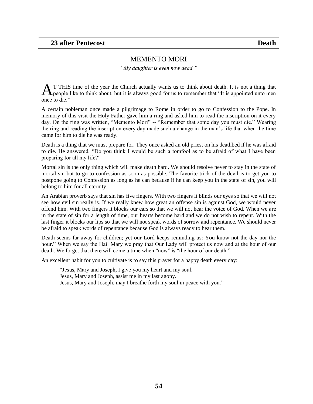#### MEMENTO MORI

*"My daughter is even now dead."*

<span id="page-53-0"></span>T THIS time of the year the Church actually wants us to think about death. It is not a thing that **A**T THIS time of the year the Church actually wants us to think about death. It is not a thing that "It is appointed unto men  $\mathbf{A}$ once to die."

A certain nobleman once made a pilgrimage to Rome in order to go to Confession to the Pope. In memory of this visit the Holy Father gave him a ring and asked him to read the inscription on it every day. On the ring was written, "Memento Mori" -- "Remember that some day you must die." Wearing the ring and reading the inscription every day made such a change in the man"s life that when the time came for him to die he was ready.

Death is a thing that we must prepare for. They once asked an old priest on his deathbed if he was afraid to die. He answered, "Do you think I would be such a tomfool as to be afraid of what I have been preparing for all my life?"

Mortal sin is the only thing which will make death hard. We should resolve never to stay in the state of mortal sin but to go to confession as soon as possible. The favorite trick of the devil is to get you to postpone going to Confession as long as he can because if he can keep you in the state of sin, you will belong to him for all eternity.

An Arabian proverb says that sin has five fingers. With two fingers it blinds our eyes so that we will not see how evil sin really is. If we really knew how great an offense sin is against God, we would never offend him. With two fingers it blocks our ears so that we will not hear the voice of God. When we are in the state of sin for a length of time, our hearts become hard and we do not wish to repent. With the last finger it blocks our lips so that we will not speak words of sorrow and repentance. We should never be afraid to speak words of repentance because God is always ready to hear them.

Death seems far away for children; yet our Lord keeps reminding us: You know not the day nor the hour." When we say the Hail Mary we pray that Our Lady will protect us now and at the hour of our death. We forget that there will come a time when "now" is "the hour of our death."

An excellent habit for you to cultivate is to say this prayer for a happy death every day:

"Jesus, Mary and Joseph, I give you my heart and my soul. Jesus, Mary and Joseph, assist me in my last agony. Jesus, Mary and Joseph, may I breathe forth my soul in peace with you."